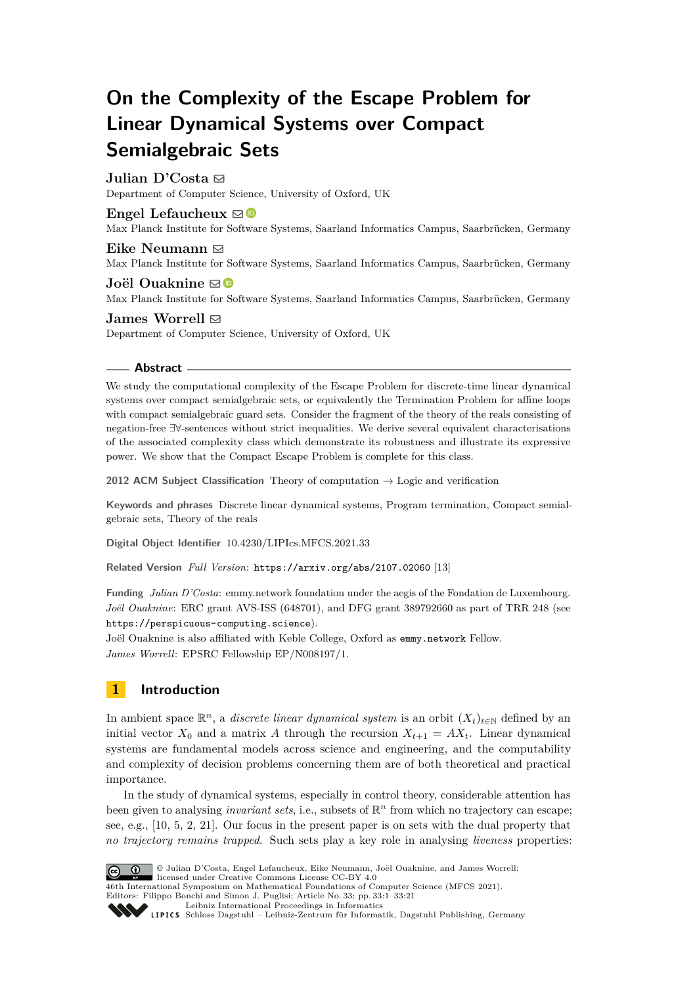# **On the Complexity of the Escape Problem for Linear Dynamical Systems over Compact Semialgebraic Sets**

# **Julian D'Costa** ⊠

Department of Computer Science, University of Oxford, UK

# **Engel Lefaucheux**  $\boxtimes$

Max Planck Institute for Software Systems, Saarland Informatics Campus, Saarbrücken, Germany

## Eike Neumann  $\boxtimes$

Max Planck Institute for Software Systems, Saarland Informatics Campus, Saarbrücken, Germany

### **Joël Ouaknine** ⊠<sup>®</sup>

Max Planck Institute for Software Systems, Saarland Informatics Campus, Saarbrücken, Germany

### **James Worrell**  $\boxtimes$

Department of Computer Science, University of Oxford, UK

### **Abstract**

We study the computational complexity of the Escape Problem for discrete-time linear dynamical systems over compact semialgebraic sets, or equivalently the Termination Problem for affine loops with compact semialgebraic guard sets. Consider the fragment of the theory of the reals consisting of negation-free ∃∀-sentences without strict inequalities. We derive several equivalent characterisations of the associated complexity class which demonstrate its robustness and illustrate its expressive power. We show that the Compact Escape Problem is complete for this class.

**2012 ACM Subject Classification** Theory of computation → Logic and verification

**Keywords and phrases** Discrete linear dynamical systems, Program termination, Compact semialgebraic sets, Theory of the reals

**Digital Object Identifier** [10.4230/LIPIcs.MFCS.2021.33](https://doi.org/10.4230/LIPIcs.MFCS.2021.33)

**Related Version** *Full Version*: <https://arxiv.org/abs/2107.02060> [\[13\]](#page-16-0)

**Funding** *Julian D'Costa*: emmy.network foundation under the aegis of the Fondation de Luxembourg. *Joël Ouaknine*: ERC grant AVS-ISS (648701), and DFG grant 389792660 as part of TRR 248 (see <https://perspicuous-computing.science>).

Joël Ouaknine is also affiliated with Keble College, Oxford as [emmy.network](http://emmy.network/) Fellow. *James Worrell*: EPSRC Fellowship EP/N008197/1.

# **1 Introduction**

In ambient space  $\mathbb{R}^n$ , a *discrete linear dynamical system* is an orbit  $(X_t)_{t\in\mathbb{N}}$  defined by an initial vector  $X_0$  and a matrix A through the recursion  $X_{t+1} = AX_t$ . Linear dynamical systems are fundamental models across science and engineering, and the computability and complexity of decision problems concerning them are of both theoretical and practical importance.

In the study of dynamical systems, especially in control theory, considerable attention has been given to analysing *invariant sets*, i.e., subsets of  $\mathbb{R}^n$  from which no trajectory can escape; see, e.g., [\[10,](#page-16-1) [5,](#page-16-2) [2,](#page-15-0) [21\]](#page-16-3). Our focus in the present paper is on sets with the dual property that *no trajectory remains trapped*. Such sets play a key role in analysing *liveness* properties:



© Julian D'Costa, Engel Lefaucheux, Eike Neumann, Joël Ouaknine, and James Worrell; licensed under Creative Commons License CC-BY 4.0

46th International Symposium on Mathematical Foundations of Computer Science (MFCS 2021). Editors: Filippo Bonchi and Simon J. Puglisi; Article No. 33; pp. 33:1–33:21

[Leibniz International Proceedings in Informatics](https://www.dagstuhl.de/lipics/)

[Schloss Dagstuhl – Leibniz-Zentrum für Informatik, Dagstuhl Publishing, Germany](https://www.dagstuhl.de)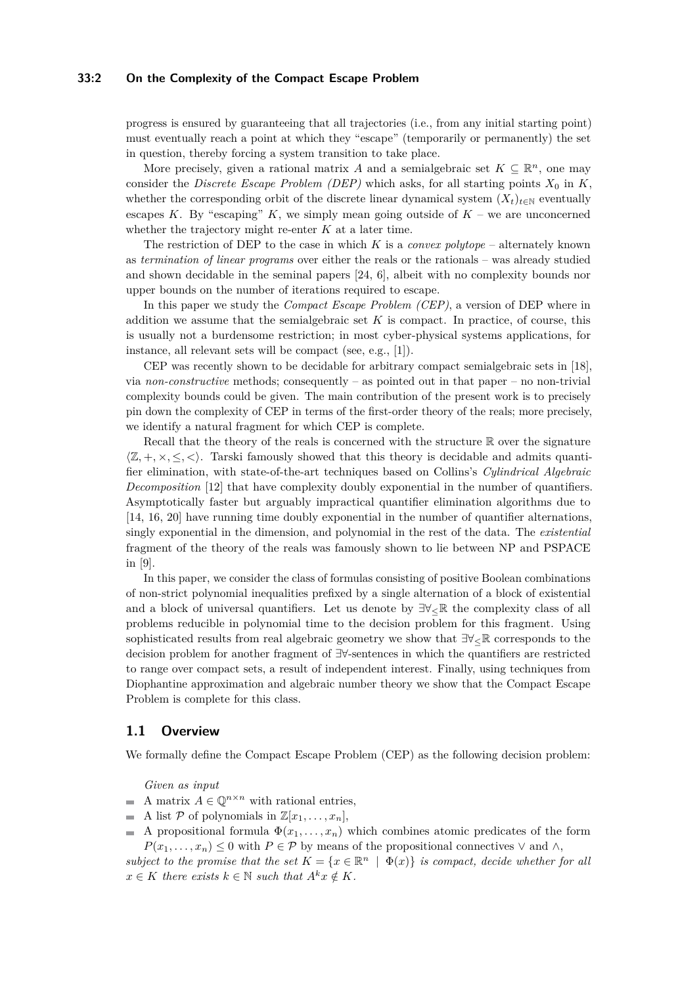### **33:2 On the Complexity of the Compact Escape Problem**

progress is ensured by guaranteeing that all trajectories (i.e., from any initial starting point) must eventually reach a point at which they "escape" (temporarily or permanently) the set in question, thereby forcing a system transition to take place.

More precisely, given a rational matrix *A* and a semialgebraic set  $K \subseteq \mathbb{R}^n$ , one may consider the *Discrete Escape Problem (DEP)* which asks, for all starting points  $X_0$  in  $K$ , whether the corresponding orbit of the discrete linear dynamical system  $(X_t)_{t\in\mathbb{N}}$  eventually escapes  $K$ . By "escaping"  $K$ , we simply mean going outside of  $K$  – we are unconcerned whether the trajectory might re-enter *K* at a later time.

The restriction of DEP to the case in which *K* is a *convex polytope* – alternately known as *termination of linear programs* over either the reals or the rationals – was already studied and shown decidable in the seminal papers [\[24,](#page-16-4) [6\]](#page-16-5), albeit with no complexity bounds nor upper bounds on the number of iterations required to escape.

In this paper we study the *Compact Escape Problem (CEP)*, a version of DEP where in addition we assume that the semialgebraic set *K* is compact. In practice, of course, this is usually not a burdensome restriction; in most cyber-physical systems applications, for instance, all relevant sets will be compact (see, e.g., [\[1\]](#page-15-1)).

CEP was recently shown to be decidable for arbitrary compact semialgebraic sets in [\[18\]](#page-16-6), via *non-constructive* methods; consequently – as pointed out in that paper – no non-trivial complexity bounds could be given. The main contribution of the present work is to precisely pin down the complexity of CEP in terms of the first-order theory of the reals; more precisely, we identify a natural fragment for which CEP is complete.

Recall that the theory of the reals is concerned with the structure  $\mathbb R$  over the signature  $\langle \mathbb{Z}, +, \times, \leq, \leq \rangle$ . Tarski famously showed that this theory is decidable and admits quantifier elimination, with state-of-the-art techniques based on Collins's *Cylindrical Algebraic Decomposition* [\[12\]](#page-16-7) that have complexity doubly exponential in the number of quantifiers. Asymptotically faster but arguably impractical quantifier elimination algorithms due to [\[14,](#page-16-8) [16,](#page-16-9) [20\]](#page-16-10) have running time doubly exponential in the number of quantifier alternations, singly exponential in the dimension, and polynomial in the rest of the data. The *existential* fragment of the theory of the reals was famously shown to lie between NP and PSPACE in [\[9\]](#page-16-11).

In this paper, we consider the class of formulas consisting of positive Boolean combinations of non-strict polynomial inequalities prefixed by a single alternation of a block of existential and a block of universal quantifiers. Let us denote by  $\exists \forall \in \mathbb{R}$  the complexity class of all problems reducible in polynomial time to the decision problem for this fragment. Using sophisticated results from real algebraic geometry we show that  $\exists \forall < \mathbb{R}$  corresponds to the decision problem for another fragment of ∃∀-sentences in which the quantifiers are restricted to range over compact sets, a result of independent interest. Finally, using techniques from Diophantine approximation and algebraic number theory we show that the Compact Escape Problem is complete for this class.

### **1.1 Overview**

We formally define the Compact Escape Problem (CEP) as the following decision problem:

*Given as input*

- A matrix  $A \in \mathbb{Q}^{n \times n}$  with rational entries.  $\sim$
- A list P of polynomials in  $\mathbb{Z}[x_1,\ldots,x_n],$
- A propositional formula  $\Phi(x_1, \ldots, x_n)$  which combines atomic predicates of the form m.  $P(x_1, \ldots, x_n) \leq 0$  with  $P \in \mathcal{P}$  by means of the propositional connectives  $\vee$  and  $\wedge$ ,

*subject to the promise that the set*  $K = \{x \in \mathbb{R}^n \mid \Phi(x)\}$  *is compact, decide whether for all*  $x \in K$  *there exists*  $k \in \mathbb{N}$  *such that*  $A^k x \notin K$ *.*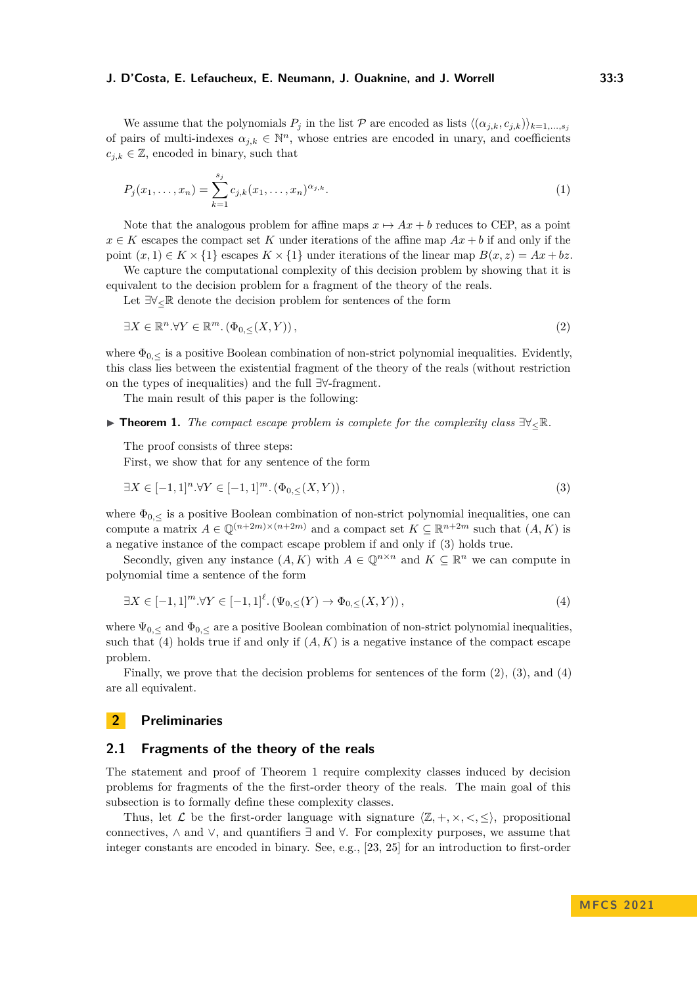We assume that the polynomials  $P_j$  in the list  $P$  are encoded as lists  $\langle (\alpha_{j,k}, c_{j,k}) \rangle_{k=1,\dots,s_j}$ of pairs of multi-indexes  $\alpha_{j,k} \in \mathbb{N}^n$ , whose entries are encoded in unary, and coefficients  $c_{i,k} \in \mathbb{Z}$ , encoded in binary, such that

<span id="page-2-4"></span>
$$
P_j(x_1, \ldots, x_n) = \sum_{k=1}^{s_j} c_{j,k}(x_1, \ldots, x_n)^{\alpha_{j,k}}.
$$
\n(1)

Note that the analogous problem for affine maps  $x \mapsto Ax + b$  reduces to CEP, as a point  $x \in K$  escapes the compact set K under iterations of the affine map  $Ax + b$  if and only if the point  $(x, 1) \in K \times \{1\}$  escapes  $K \times \{1\}$  under iterations of the linear map  $B(x, z) = Ax + bz$ .

We capture the computational complexity of this decision problem by showing that it is equivalent to the decision problem for a fragment of the theory of the reals.

<span id="page-2-2"></span>Let ∃∀≤R denote the decision problem for sentences of the form

$$
\exists X \in \mathbb{R}^n. \forall Y \in \mathbb{R}^m. \left(\Phi_{0,\leq}(X,Y)\right),\tag{2}
$$

where  $\Phi_{0,\leq}$  is a positive Boolean combination of non-strict polynomial inequalities. Evidently, this class lies between the existential fragment of the theory of the reals (without restriction on the types of inequalities) and the full ∃∀-fragment.

The main result of this paper is the following:

<span id="page-2-3"></span>▶ **Theorem 1.** *The compact escape problem is complete for the complexity class* ∃∀≤R*.*

The proof consists of three steps:

<span id="page-2-0"></span>First, we show that for any sentence of the form

$$
\exists X \in [-1,1]^n. \forall Y \in [-1,1]^m. \left(\Phi_{0,\leq}(X,Y)\right),\tag{3}
$$

where  $\Phi_{0,\leq}$  is a positive Boolean combination of non-strict polynomial inequalities, one can compute a matrix  $A \in \mathbb{Q}^{(n+2m)\times(n+2m)}$  and a compact set  $K \subseteq \mathbb{R}^{n+2m}$  such that  $(A, K)$  is a negative instance of the compact escape problem if and only if [\(3\)](#page-2-0) holds true.

Secondly, given any instance  $(A, K)$  with  $A \in \mathbb{Q}^{n \times n}$  and  $K \subseteq \mathbb{R}^n$  we can compute in polynomial time a sentence of the form

<span id="page-2-1"></span>
$$
\exists X \in [-1,1]^m. \forall Y \in [-1,1]^{\ell}. (\Psi_{0,\leq}(Y) \to \Phi_{0,\leq}(X,Y)), \tag{4}
$$

where  $\Psi_{0,<}$  and  $\Phi_{0,<}$  are a positive Boolean combination of non-strict polynomial inequalities, such that  $(4)$  holds true if and only if  $(A, K)$  is a negative instance of the compact escape problem.

Finally, we prove that the decision problems for sentences of the form [\(2\)](#page-2-2), [\(3\)](#page-2-0), and [\(4\)](#page-2-1) are all equivalent.

# **2 Preliminaries**

## **2.1 Fragments of the theory of the reals**

The statement and proof of Theorem [1](#page-2-3) require complexity classes induced by decision problems for fragments of the the first-order theory of the reals. The main goal of this subsection is to formally define these complexity classes.

Thus, let  $\mathcal{L}$  be the first-order language with signature  $\langle \mathbb{Z}, +, \times, \langle, \langle \rangle \rangle$ , propositional connectives,  $\land$  and  $\lor$ , and quantifiers  $\exists$  and  $\forall$ . For complexity purposes, we assume that integer constants are encoded in binary. See, e.g., [\[23,](#page-16-12) [25\]](#page-16-13) for an introduction to first-order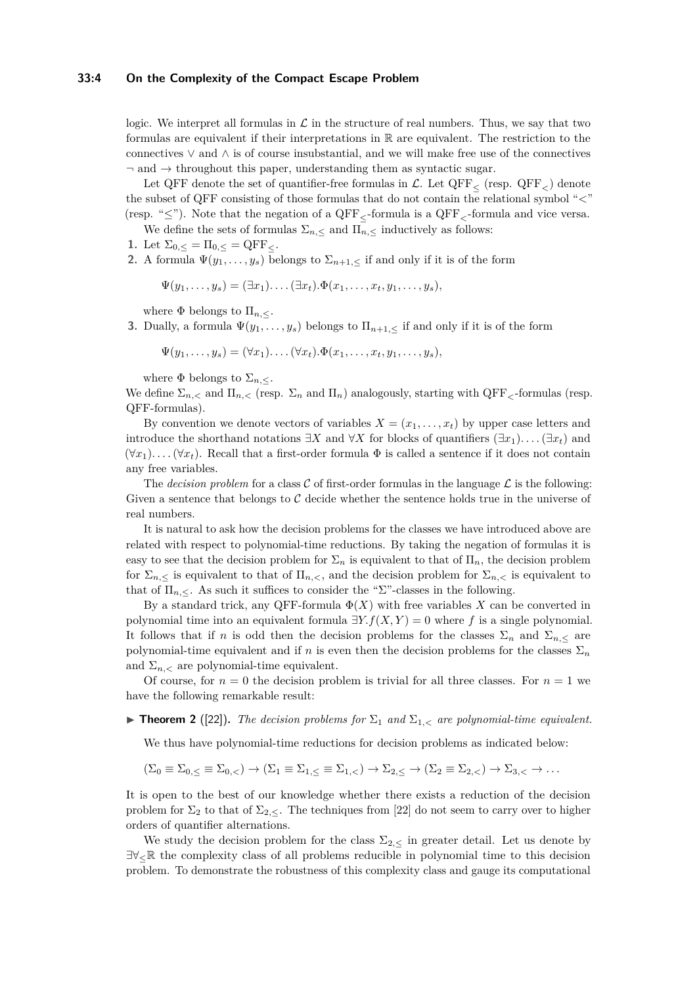### **33:4 On the Complexity of the Compact Escape Problem**

logic. We interpret all formulas in  $\mathcal L$  in the structure of real numbers. Thus, we say that two formulas are equivalent if their interpretations in R are equivalent. The restriction to the connectives ∨ and ∧ is of course insubstantial, and we will make free use of the connectives  $\neg$  and  $\rightarrow$  throughout this paper, understanding them as syntactic sugar.

Let QFF denote the set of quantifier-free formulas in  $\mathcal{L}$ . Let QFF<sub> $\lt$ </sub> (resp. QFF<sub> $\lt$ </sub>) denote the subset of QFF consisting of those formulas that do not contain the relational symbol "*<*" (resp. "≤"). Note that the negation of a QFF≤-formula is a QFF*<*-formula and vice versa.

We define the sets of formulas  $\Sigma_{n,\le}$  and  $\Pi_{n,\le}$  inductively as follows:

1. Let  $\Sigma_{0,\leq} = \Pi_{0,\leq} = \text{QFF}_{\leq}$ .

**2.** A formula  $\Psi(y_1, \ldots, y_s)$  belongs to  $\Sigma_{n+1,s}$  if and only if it is of the form

$$
\Psi(y_1,\ldots,y_s)=(\exists x_1)\ldots(\exists x_t).\Phi(x_1,\ldots,x_t,y_1,\ldots,y_s),
$$

where  $\Phi$  belongs to  $\Pi_{n,<}.$ 

**3.** Dually, a formula  $\Psi(y_1, \ldots, y_s)$  belongs to  $\Pi_{n+1, \leq}$  if and only if it is of the form

$$
\Psi(y_1,\ldots,y_s)=(\forall x_1)\ldots(\forall x_t).\Phi(x_1,\ldots,x_t,y_1,\ldots,y_s),
$$

where  $\Phi$  belongs to  $\Sigma_{n,<}$ .

We define  $\Sigma_{n,<}$  and  $\Pi_{n,<}$  (resp.  $\Sigma_n$  and  $\Pi_n$ ) analogously, starting with QFF<sub> $\zeta$ </sub>-formulas (resp. QFF-formulas).

By convention we denote vectors of variables  $X = (x_1, \ldots, x_t)$  by upper case letters and introduce the shorthand notations  $\exists X$  and  $\forall X$  for blocks of quantifiers  $(\exists x_1) \dots (\exists x_t)$  and  $(\forall x_1) \dots (\forall x_t)$ . Recall that a first-order formula  $\Phi$  is called a sentence if it does not contain any free variables.

The *decision problem* for a class C of first-order formulas in the language  $\mathcal{L}$  is the following: Given a sentence that belongs to  $\mathcal C$  decide whether the sentence holds true in the universe of real numbers.

It is natural to ask how the decision problems for the classes we have introduced above are related with respect to polynomial-time reductions. By taking the negation of formulas it is easy to see that the decision problem for  $\Sigma_n$  is equivalent to that of  $\Pi_n$ , the decision problem for  $\Sigma_{n,\leq}$  is equivalent to that of  $\Pi_{n,<}$ , and the decision problem for  $\Sigma_{n,<}$  is equivalent to that of  $\Pi_{n,<}$ . As such it suffices to consider the "Σ"-classes in the following.

By a standard trick, any QFF-formula  $\Phi(X)$  with free variables X can be converted in polynomial time into an equivalent formula  $\exists Y.f(X, Y) = 0$  where *f* is a single polynomial. It follows that if *n* is odd then the decision problems for the classes  $\Sigma_n$  and  $\Sigma_{n,<}$  are polynomial-time equivalent and if *n* is even then the decision problems for the classes  $\Sigma_n$ and  $\Sigma_n$  are polynomial-time equivalent.

Of course, for  $n = 0$  the decision problem is trivial for all three classes. For  $n = 1$  we have the following remarkable result:

 $\blacktriangleright$  **Theorem 2** ([\[22\]](#page-16-14)). The decision problems for  $\Sigma_1$  and  $\Sigma_{1,\leq}$  are polynomial-time equivalent.

We thus have polynomial-time reductions for decision problems as indicated below:

$$
(\Sigma_0 \equiv \Sigma_{0,\leq} \equiv \Sigma_{0,<}) \rightarrow (\Sigma_1 \equiv \Sigma_{1,\leq} \equiv \Sigma_{1,<}) \rightarrow \Sigma_{2,\leq} \rightarrow (\Sigma_2 \equiv \Sigma_{2,<}) \rightarrow \Sigma_{3,<} \rightarrow \dots
$$

It is open to the best of our knowledge whether there exists a reduction of the decision problem for  $\Sigma_2$  to that of  $\Sigma_{2,\leq}$ . The techniques from [\[22\]](#page-16-14) do not seem to carry over to higher orders of quantifier alternations.

We study the decision problem for the class  $\Sigma_{2,<}$  in greater detail. Let us denote by ∃∀≤R the complexity class of all problems reducible in polynomial time to this decision problem. To demonstrate the robustness of this complexity class and gauge its computational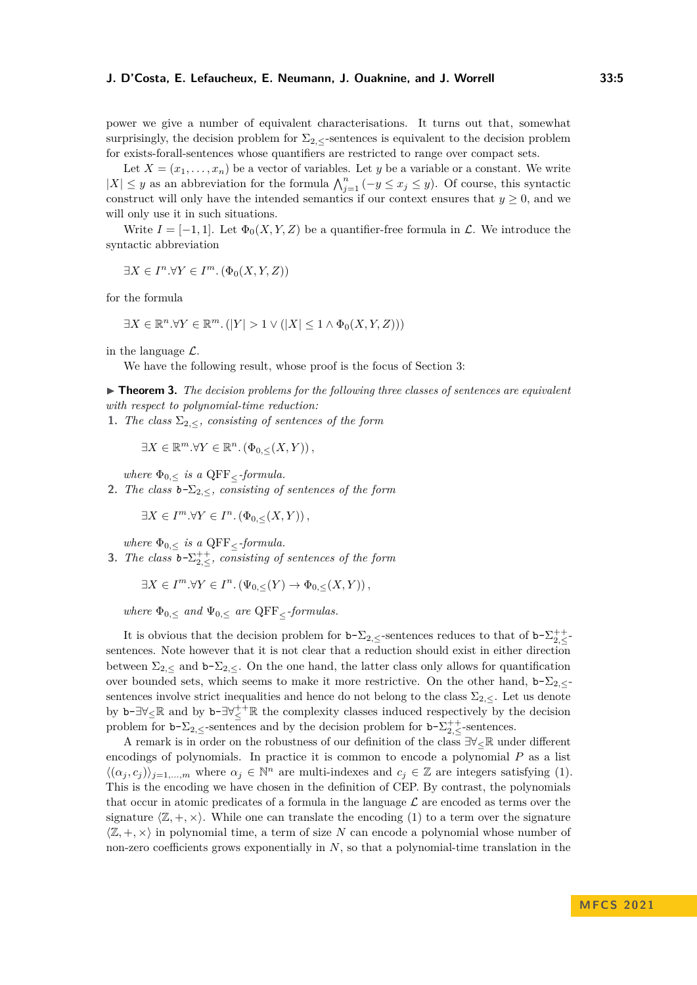power we give a number of equivalent characterisations. It turns out that, somewhat surprisingly, the decision problem for  $\Sigma_{2,\le}$ -sentences is equivalent to the decision problem for exists-forall-sentences whose quantifiers are restricted to range over compact sets.

Let  $X = (x_1, \ldots, x_n)$  be a vector of variables. Let *y* be a variable or a constant. We write  $|X|$  ≤ *y* as an abbreviation for the formula  $\bigwedge_{j=1}^{n} (-y \le x_j \le y)$ . Of course, this syntactic construct will only have the intended semantics if our context ensures that  $y \geq 0$ , and we will only use it in such situations.

Write  $I = [-1, 1]$ . Let  $\Phi_0(X, Y, Z)$  be a quantifier-free formula in  $\mathcal{L}$ . We introduce the syntactic abbreviation

$$
\exists X \in I^n. \forall Y \in I^m. \left(\Phi_0(X, Y, Z)\right)
$$

for the formula

$$
\exists X \in \mathbb{R}^n. \forall Y \in \mathbb{R}^m. (|Y| > 1 \vee (|X| \leq 1 \wedge \Phi_0(X, Y, Z)))
$$

in the language  $\mathcal{L}$ .

We have the following result, whose proof is the focus of Section [3:](#page-6-0)

<span id="page-4-0"></span>▶ **Theorem 3.** The decision problems for the following three classes of sentences are equivalent *with respect to polynomial-time reduction:*

**1.** *The class*  $\Sigma_{2,\leq}$ *, consisting of sentences of the form* 

$$
\exists X \in \mathbb{R}^m. \forall Y \in \mathbb{R}^n. \left(\Phi_{0,\leq}(X,Y)\right),\
$$

*where*  $\Phi_{0,\leq}$  *is a* QFF<sub> $\leq$ </sub>*-formula.* 

**2.** *The class*  $b-\Sigma_2$ , *consisting of sentences of the form* 

$$
\exists X \in I^m. \forall Y \in I^n. \left(\Phi_{0,\leq}(X,Y)\right),
$$

*where*  $\Phi_{0,\le}$  *is a* QFF<sub><</sub>*-formula.* 

**3.** *The class*  $b-\sum_{2,\leq}^{++}$ , *consisting of sentences of the form* 

$$
\exists X \in I^m. \forall Y \in I^n. \left(\Psi_{0,\leq}(Y) \to \Phi_{0,\leq}(X,Y)\right),
$$

*where*  $\Phi_{0,\le}$  *and*  $\Psi_{0,\le}$  *are* QFF<sub><</sub>-formulas.

It is obvious that the decision problem for  $b-\sum_{2,\leq}$ -sentences reduces to that of  $b-\sum_{2,\leq}$ sentences. Note however that it is not clear that a reduction should exist in either direction between  $\Sigma_{2,\le}$  and  $\mathbf{b}$ - $\Sigma_{2,\le}$ . On the one hand, the latter class only allows for quantification over bounded sets, which seems to make it more restrictive. On the other hand, b-Σ2*,*<sup>≤</sup> sentences involve strict inequalities and hence do not belong to the class  $\Sigma_{2,\leq}$ . Let us denote by  $b-\exists \forall \leq \mathbb{R}$  and by  $b-\exists \forall \leq^+ \mathbb{R}$  the complexity classes induced respectively by the decision problem for  $b-\sum_{2,\leq}$ -sentences and by the decision problem for  $b-\sum_{2,\leq}^{++}$ -sentences.

A remark is in order on the robustness of our definition of the class ∃∀≤R under different encodings of polynomials. In practice it is common to encode a polynomial *P* as a list  $\langle (\alpha_j, c_j) \rangle_{j=1,\dots,m}$  where  $\alpha_j \in \mathbb{N}^n$  are multi-indexes and  $c_j \in \mathbb{Z}$  are integers satisfying [\(1\)](#page-2-4). This is the encoding we have chosen in the definition of CEP. By contrast, the polynomials that occur in atomic predicates of a formula in the language  $\mathcal L$  are encoded as terms over the signature  $\langle \mathbb{Z}, +, \times \rangle$ . While one can translate the encoding [\(1\)](#page-2-4) to a term over the signature  $\langle \mathbb{Z}, +, \times \rangle$  in polynomial time, a term of size N can encode a polynomial whose number of non-zero coefficients grows exponentially in *N*, so that a polynomial-time translation in the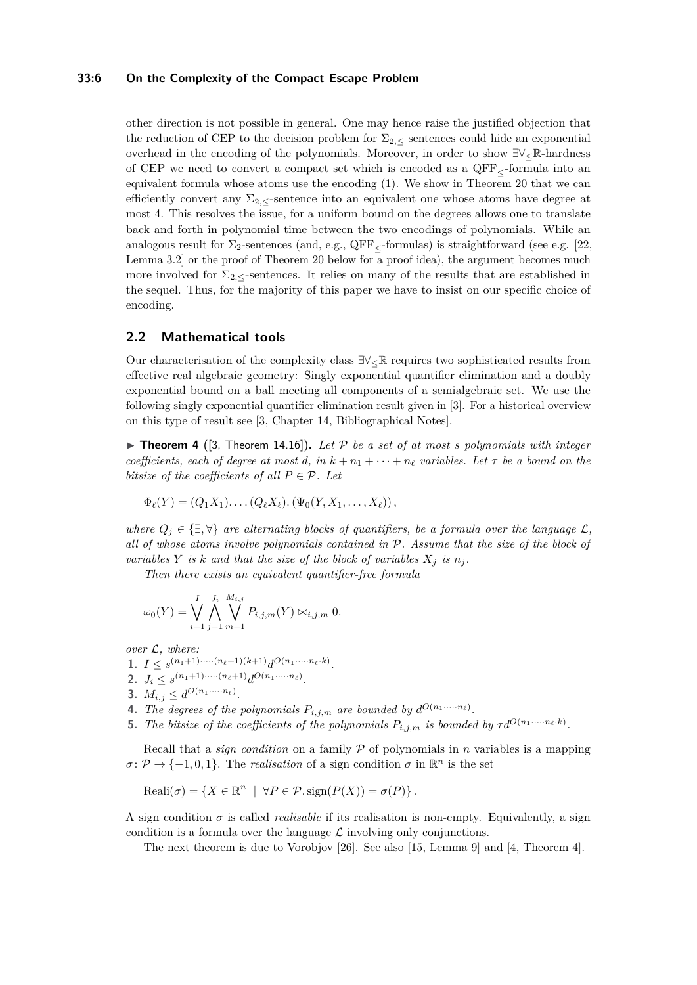### **33:6 On the Complexity of the Compact Escape Problem**

other direction is not possible in general. One may hence raise the justified objection that the reduction of CEP to the decision problem for  $\Sigma_{2,\le}$  sentences could hide an exponential overhead in the encoding of the polynomials. Moreover, in order to show ∃∀≤R-hardness of CEP we need to convert a compact set which is encoded as a  $QFF<sub>5</sub>$ -formula into an equivalent formula whose atoms use the encoding [\(1\)](#page-2-4). We show in Theorem [20](#page-12-0) that we can efficiently convert any  $\Sigma_2$ , sentence into an equivalent one whose atoms have degree at most 4. This resolves the issue, for a uniform bound on the degrees allows one to translate back and forth in polynomial time between the two encodings of polynomials. While an analogous result for  $\Sigma_2$ -sentences (and, e.g., QFF<sub> $\lt$ </sub>-formulas) is straightforward (see e.g. [\[22,](#page-16-14) Lemma 3.2] or the proof of Theorem [20](#page-12-0) below for a proof idea), the argument becomes much more involved for  $\Sigma_2$ , sentences. It relies on many of the results that are established in the sequel. Thus, for the majority of this paper we have to insist on our specific choice of encoding.

## **2.2 Mathematical tools**

Our characterisation of the complexity class  $\exists \forall \in \mathbb{R}$  requires two sophisticated results from effective real algebraic geometry: Singly exponential quantifier elimination and a doubly exponential bound on a ball meeting all components of a semialgebraic set. We use the following singly exponential quantifier elimination result given in [\[3\]](#page-15-2). For a historical overview on this type of result see [\[3,](#page-15-2) Chapter 14, Bibliographical Notes].

<span id="page-5-0"></span> $\triangleright$  **Theorem 4** ([\[3,](#page-15-2) Theorem 14.16]). Let P be a set of at most *s* polynomials with integer *coefficients, each of degree at most d, in*  $k + n_1 + \cdots + n_\ell$  *variables. Let*  $\tau$  *be a bound on the bitsize of the coefficients of all*  $P \in \mathcal{P}$ *. Let* 

$$
\Phi_{\ell}(Y) = (Q_1X_1)\dots (Q_{\ell}X_{\ell}).(\Psi_0(Y, X_1,\dots,X_{\ell})),
$$

*where*  $Q_j \in \{\exists, \forall\}$  *are alternating blocks of quantifiers, be a formula over the language*  $\mathcal{L}$ *, all of whose atoms involve polynomials contained in* P*. Assume that the size of the block of variables*  $Y$  *is*  $k$  *and that the size of the block of variables*  $X_i$  *is*  $n_i$ *.* 

*Then there exists an equivalent quantifier-free formula*

$$
\omega_0(Y) = \bigvee_{i=1}^I \bigwedge_{j=1}^{J_i} \bigvee_{m=1}^{M_{i,j}} P_{i,j,m}(Y) \bowtie_{i,j,m} 0.
$$

*over* L*, where:*

1.  $I \leq s^{(n_1+1)\cdots(n_\ell+1)(k+1)}d^{O(n_1\cdots n_\ell \cdot k)}$ .

- 2.  $J_i \leq s^{(n_1+1)\cdots(n_\ell+1)} d^{O(n_1\cdots n_\ell)}$ .
- **3.**  $M_{i,j} \leq d^{O(n_1 + \cdots + n_{\ell})}$ .
- **4.** *The degrees of the polynomials*  $P_{i,j,m}$  *are bounded by*  $d^{O(n_1 \cdots n_\ell)}$ .
- **5.** *The bitsize of the coefficients of the polynomials*  $P_{i,j,m}$  *is bounded by*  $\tau d^{O(n_1 \cdots n_\ell \cdot k)}$ .

Recall that a *sign condition* on a family P of polynomials in *n* variables is a mapping  $\sigma \colon \mathcal{P} \to \{-1, 0, 1\}$ . The *realisation* of a sign condition  $\sigma$  in  $\mathbb{R}^n$  is the set

$$
Reali(\sigma) = \{ X \in \mathbb{R}^n \mid \forall P \in \mathcal{P}.sign(P(X)) = \sigma(P) \}.
$$

A sign condition  $\sigma$  is called *realisable* if its realisation is non-empty. Equivalently, a sign condition is a formula over the language  $\mathcal L$  involving only conjunctions.

<span id="page-5-1"></span>The next theorem is due to Vorobjov [\[26\]](#page-16-15). See also [\[15,](#page-16-16) Lemma 9] and [\[4,](#page-15-3) Theorem 4].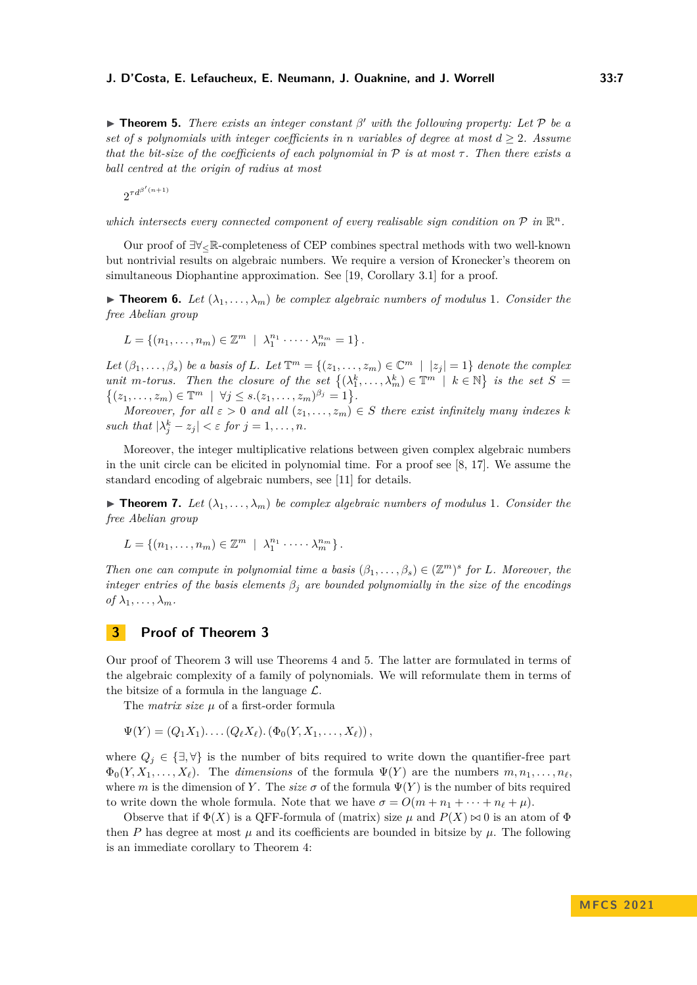▶ **Theorem 5.** *There exists an integer constant β* ′ *with the following property: Let* P *be a set of s polynomials with integer coefficients in <i>n variables of degree at most*  $d > 2$ *. Assume that the bit-size of the coefficients of each polynomial in*  $\mathcal P$  *is at most*  $\tau$ . Then there exists a *ball centred at the origin of radius at most*

 $2^{\tau d^{\beta'(n+1)}}$ 

which intersects every connected component of every realisable sign condition on  $P$  in  $\mathbb{R}^n$ .

Our proof of ∃∀≤R-completeness of CEP combines spectral methods with two well-known but nontrivial results on algebraic numbers. We require a version of Kronecker's theorem on simultaneous Diophantine approximation. See [\[19,](#page-16-17) Corollary 3.1] for a proof.

<span id="page-6-2"></span> $\triangleright$  **Theorem 6.** Let  $(\lambda_1, \ldots, \lambda_m)$  be complex algebraic numbers of modulus 1. Consider the *free Abelian group*

$$
L = \{(n_1, \ldots, n_m) \in \mathbb{Z}^m \mid \lambda_1^{n_1} \cdot \cdots \cdot \lambda_m^{n_m} = 1\}.
$$

*Let*  $(\beta_1, \ldots, \beta_s)$  *be a basis of L. Let*  $\mathbb{T}^m = \{(z_1, \ldots, z_m) \in \mathbb{C}^m \mid |z_j| = 1\}$  *denote the complex unit m*-torus. Then the closure of the set  $\{(\lambda_1^k, \ldots, \lambda_m^k) \in \mathbb{T}^m \mid k \in \mathbb{N}\}\$ is the set  $S =$  $\{(z_1, \ldots, z_m) \in \mathbb{T}^m \mid \forall j \le s.(z_1, \ldots, z_m)^{\beta_j} = 1\}.$ 

*Moreover, for all*  $\varepsilon > 0$  *and all*  $(z_1, \ldots, z_m) \in S$  *there exist infinitely many indexes k such that*  $|\lambda_j^k - z_j| < \varepsilon$  *for*  $j = 1, \ldots, n$ *.* 

Moreover, the integer multiplicative relations between given complex algebraic numbers in the unit circle can be elicited in polynomial time. For a proof see [\[8,](#page-16-18) [17\]](#page-16-19). We assume the standard encoding of algebraic numbers, see [\[11\]](#page-16-20) for details.

<span id="page-6-3"></span> $\triangleright$  **Theorem 7.** Let  $(\lambda_1, \ldots, \lambda_m)$  be complex algebraic numbers of modulus 1. Consider the *free Abelian group*

$$
L = \{(n_1, \ldots, n_m) \in \mathbb{Z}^m \mid \lambda_1^{n_1} \cdot \cdots \cdot \lambda_m^{n_m}\}.
$$

*Then one can compute in polynomial time a basis*  $(\beta_1, \ldots, \beta_s) \in (\mathbb{Z}^m)^s$  *for L. Moreover, the integer entries of the basis elements*  $\beta_i$  *are bounded polynomially in the size of the encodings*  $of \lambda_1, \ldots, \lambda_m$ .

# <span id="page-6-0"></span>**3 Proof of Theorem [3](#page-4-0)**

Our proof of Theorem [3](#page-4-0) will use Theorems [4](#page-5-0) and [5.](#page-5-1) The latter are formulated in terms of the algebraic complexity of a family of polynomials. We will reformulate them in terms of the bitsize of a formula in the language  $\mathcal{L}$ .

The *matrix size µ* of a first-order formula

 $\Psi(Y) = (Q_1 X_1) \dots (Q_\ell X_\ell) \cdot (\Phi_0(Y, X_1, \dots, X_\ell))$ 

where  $Q_j \in \{\exists, \forall\}$  is the number of bits required to write down the quantifier-free part  $\Phi_0(Y, X_1, \ldots, X_\ell)$ . The *dimensions* of the formula  $\Psi(Y)$  are the numbers  $m, n_1, \ldots, n_\ell$ . where *m* is the dimension of *Y*. The *size*  $\sigma$  of the formula  $\Psi(Y)$  is the number of bits required to write down the whole formula. Note that we have  $\sigma = O(m + n_1 + \cdots + n_\ell + \mu)$ .

<span id="page-6-1"></span>Observe that if  $\Phi(X)$  is a QFF-formula of (matrix) size  $\mu$  and  $P(X) \bowtie 0$  is an atom of  $\Phi$ then *P* has degree at most  $\mu$  and its coefficients are bounded in bitsize by  $\mu$ . The following is an immediate corollary to Theorem [4:](#page-5-0)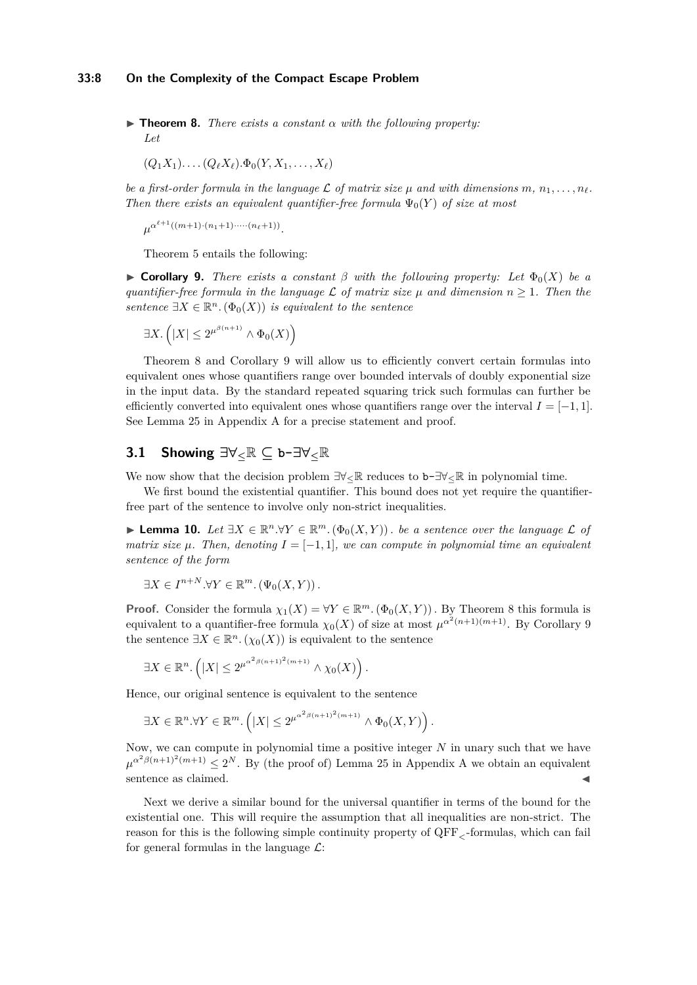$\triangleright$  **Theorem 8.** *There exists a constant*  $\alpha$  *with the following property: Let*

$$
(Q_1X_1)\ldots (Q_\ell X_\ell).\Phi_0(Y,X_1,\ldots,X_\ell)
$$

*be a first-order formula in the language*  $\mathcal L$  *of matrix size*  $\mu$  *and with dimensions*  $m, n_1, \ldots, n_\ell$ . *Then there exists an equivalent quantifier-free formula*  $\Psi_0(Y)$  *of size at most* 

 $\mu^{\alpha^{\ell+1}((m+1)\cdot(n_1+1)\cdot\cdots(n_\ell+1))}$ .

Theorem [5](#page-5-1) entails the following:

<span id="page-7-0"></span>**Example 5 Corollary 9.** *There exists a constant*  $\beta$  *with the following property: Let*  $\Phi_0(X)$  *be a quantifier-free formula in the language*  $\mathcal{L}$  *of matrix size*  $\mu$  *and dimension*  $n \geq 1$ *. Then the sentence*  $\exists X \in \mathbb{R}^n$ .  $(\Phi_0(X))$  *is equivalent to the sentence* 

$$
\exists X. \left( |X| \le 2^{\mu^{\beta(n+1)}} \wedge \Phi_0(X) \right)
$$

Theorem [8](#page-6-1) and Corollary [9](#page-7-0) will allow us to efficiently convert certain formulas into equivalent ones whose quantifiers range over bounded intervals of doubly exponential size in the input data. By the standard repeated squaring trick such formulas can further be efficiently converted into equivalent ones whose quantifiers range over the interval  $I = [-1, 1]$ . See Lemma [25](#page-17-0) in Appendix [A](#page-17-1) for a precise statement and proof.

# **3.1 Showing ∃∀≤**R **⊆ b-∃∀≤**R

We now show that the decision problem  $\exists \forall_{\leq} \mathbb{R}$  reduces to b- $\exists \forall_{\leq} \mathbb{R}$  in polynomial time.

We first bound the existential quantifier. This bound does not yet require the quantifierfree part of the sentence to involve only non-strict inequalities.

<span id="page-7-2"></span>▶ **Lemma 10.** *Let*  $\exists X \in \mathbb{R}^n \cdot \forall Y \in \mathbb{R}^m \cdot (\Phi_0(X, Y))$ . *be a sentence over the language*  $\mathcal{L}$  *of matrix size*  $\mu$ . Then, denoting  $I = [-1, 1]$ , we can compute in polynomial time an equivalent *sentence of the form*

$$
\exists X \in I^{n+N}.\forall Y \in \mathbb{R}^m. \left(\Psi_0(X, Y)\right).
$$

**Proof.** Consider the formula  $\chi_1(X) = \forall Y \in \mathbb{R}^m$ .  $(\Phi_0(X, Y))$ . By Theorem [8](#page-6-1) this formula is equivalent to a quantifier-free formula  $\chi_0(X)$  of size at most  $\mu^{\alpha^2(n+1)(m+1)}$ . By Corollary [9](#page-7-0) the sentence  $\exists X \in \mathbb{R}^n$ .  $(\chi_0(X))$  is equivalent to the sentence

$$
\exists X \in \mathbb{R}^n. \left( |X| \leq 2^{\mu^{\alpha^2 \beta (n+1)^2 (m+1)}} \wedge \chi_0(X) \right).
$$

Hence, our original sentence is equivalent to the sentence

$$
\exists X \in \mathbb{R}^n. \forall Y \in \mathbb{R}^m. \left( |X| \leq 2^{\mu^{\alpha^2 \beta (n+1)^2 (m+1)}} \wedge \Phi_0(X, Y) \right).
$$

Now, we can compute in polynomial time a positive integer *N* in unary such that we have  $\mu^{\alpha^2\beta(n+1)^2(m+1)} \leq 2^N$ . By (the proof of) Lemma [25](#page-17-0) in [A](#page-17-1)ppendix A we obtain an equivalent sentence as claimed.

<span id="page-7-1"></span>Next we derive a similar bound for the universal quantifier in terms of the bound for the existential one. This will require the assumption that all inequalities are non-strict. The reason for this is the following simple continuity property of QFF*<*-formulas, which can fail for general formulas in the language  $\mathcal{L}$ :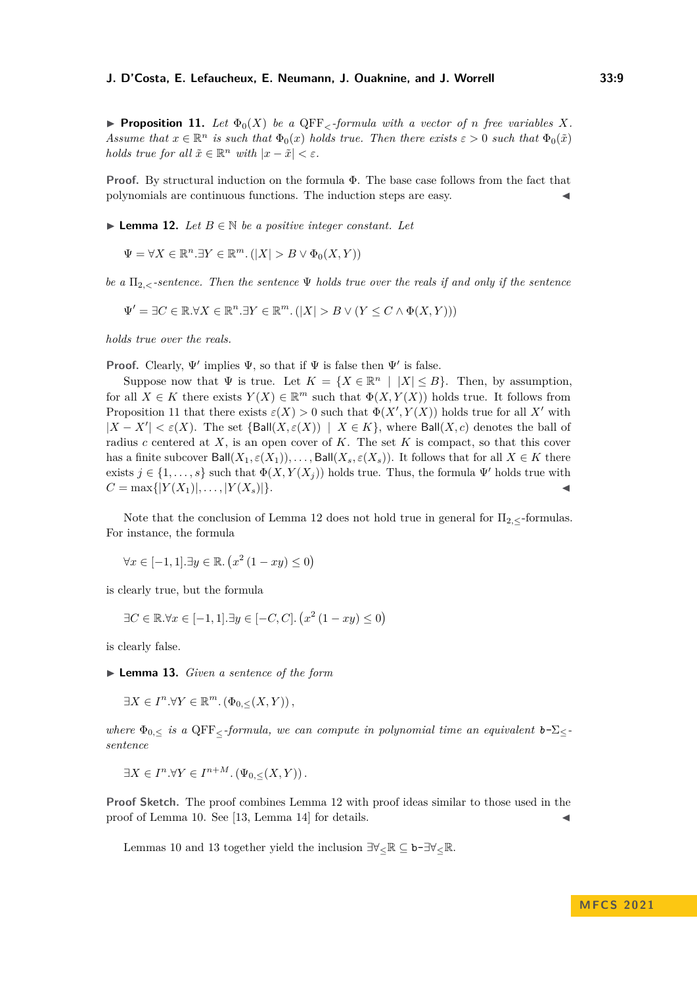**• Proposition 11.** Let  $\Phi_0(X)$  be a QFF<sub> $\epsilon$ </sub>-formula with a vector of *n* free variables X. *Assume that*  $x \in \mathbb{R}^n$  *is such that*  $\Phi_0(x)$  *holds true. Then there exists*  $\varepsilon > 0$  *such that*  $\Phi_0(\tilde{x})$ *holds true for all*  $\tilde{x} \in \mathbb{R}^n$  *with*  $|x - \tilde{x}| < \varepsilon$ *.* 

**Proof.** By structural induction on the formula Φ. The base case follows from the fact that polynomials are continuous functions. The induction steps are easy.

<span id="page-8-0"></span>▶ **Lemma 12.** *Let*  $B \in \mathbb{N}$  *be a positive integer constant. Let* 

$$
\Psi = \forall X \in \mathbb{R}^n. \exists Y \in \mathbb{R}^m. (|X| > B \lor \Phi_0(X, Y))
$$

*be a*  $\Pi_2$ , sentence. Then the sentence  $\Psi$  *holds true over the reals if and only if the sentence* 

$$
\Psi' = \exists C \in \mathbb{R}. \forall X \in \mathbb{R}^n. \exists Y \in \mathbb{R}^m. \left( |X| > B \vee \left( Y \leq C \wedge \Phi(X,Y) \right) \right)
$$

*holds true over the reals.*

**Proof.** Clearly,  $\Psi'$  implies  $\Psi$ , so that if  $\Psi$  is false then  $\Psi'$  is false.

Suppose now that  $\Psi$  is true. Let  $K = \{X \in \mathbb{R}^n \mid |X| \leq B\}$ . Then, by assumption, for all  $X \in K$  there exists  $Y(X) \in \mathbb{R}^m$  such that  $\Phi(X, Y(X))$  holds true. It follows from Proposition [11](#page-7-1) that there exists  $\varepsilon(X) > 0$  such that  $\Phi(X', Y(X))$  holds true for all X' with  $|X - X'| < \varepsilon(X)$ . The set  $\{\text{Ball}(X, \varepsilon(X)) \mid X \in K\}$ , where  $\text{Ball}(X, c)$  denotes the ball of radius *c* centered at *X*, is an open cover of *K*. The set *K* is compact, so that this cover has a finite subcover  $Ball(X_1, \varepsilon(X_1)), \ldots, Ball(X_s, \varepsilon(X_s))$ . It follows that for all  $X \in K$  there exists  $j \in \{1, \ldots, s\}$  such that  $\Phi(X, Y(X_j))$  holds true. Thus, the formula  $\Psi'$  holds true with  $C = \max\{|Y(X_1)|, \ldots, |Y(X_s)|\}.$ 

Note that the conclusion of Lemma [12](#page-8-0) does not hold true in general for  $\Pi_{2,\leq}$ -formulas. For instance, the formula

$$
\forall x \in [-1, 1]. \exists y \in \mathbb{R}. \left( x^2 \left( 1 - xy \right) \le 0 \right)
$$

is clearly true, but the formula

$$
\exists C \in \mathbb{R}.\forall x \in [-1, 1].\exists y \in [-C, C]. \left(x^2 \left(1 - xy\right) \le 0\right)
$$

<span id="page-8-1"></span>is clearly false.

▶ **Lemma 13.** *Given a sentence of the form*

 $\exists X \in I^n.\forall Y \in \mathbb{R}^m$ .  $(\Phi_{0,\leq}(X,Y))$ ,

*where*  $\Phi_{0,\leq}$  *is a* QFF<sub><</sub>-formula, we can compute in polynomial time an equivalent  $b-\Sigma_{\leq}$ *sentence*

$$
\exists X \in I^n. \forall Y \in I^{n+M}. \left(\Psi_{0,\leq}(X,Y)\right).
$$

**Proof Sketch.** The proof combines Lemma [12](#page-8-0) with proof ideas similar to those used in the proof of Lemma [10.](#page-7-2) See  $[13,$  Lemma 14 $]$  for details.

Lemmas [10](#page-7-2) and [13](#page-8-1) together yield the inclusion  $\exists \forall_{\leq} \mathbb{R} \subseteq \mathbf{b}$ - $\exists \forall_{\leq} \mathbb{R}$ .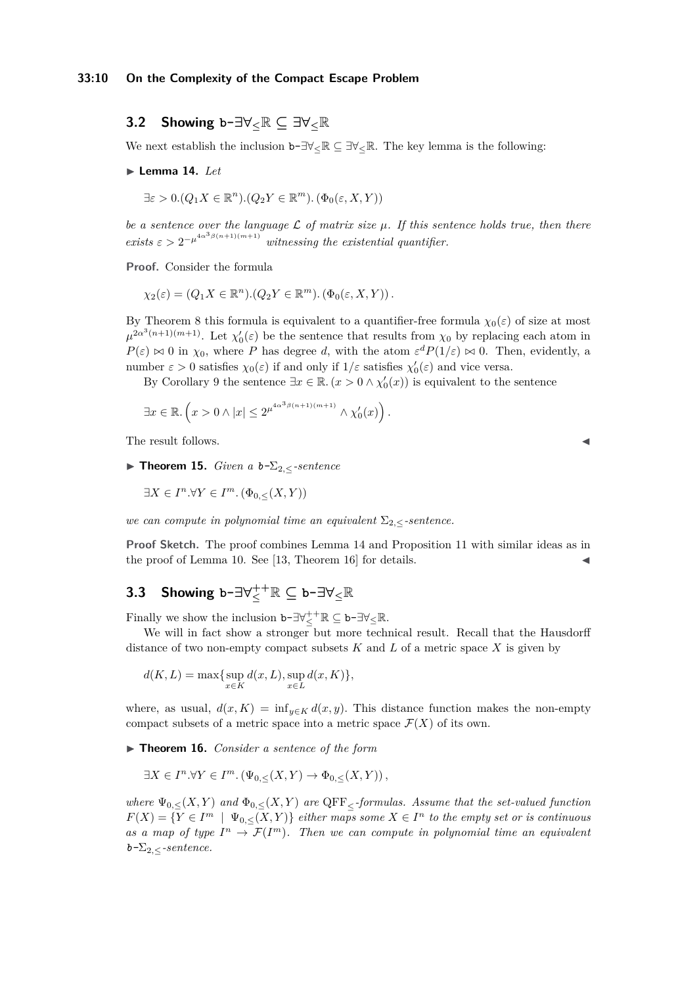# **3.2 Showing b-∃∀≤**R **⊆ ∃∀≤**R

<span id="page-9-0"></span>We next establish the inclusion  $b-\exists \forall \in \mathbb{R} \subseteq \exists \forall \in \mathbb{R}$ . The key lemma is the following:

#### ▶ **Lemma 14.** *Let*

 $\exists \varepsilon > 0. (Q_1 X \in \mathbb{R}^n) . (Q_2 Y \in \mathbb{R}^m) . (\Phi_0(\varepsilon, X, Y))$ 

*be a sentence over the language* L *of matrix size µ. If this sentence holds true, then there exists*  $\epsilon > 2^{-\mu^{4\alpha^3\beta(n+1)(m+1)}}$  *witnessing the existential quantifier.* 

**Proof.** Consider the formula

 $\chi_2(\varepsilon) = (Q_1 X \in \mathbb{R}^n) \cdot (Q_2 Y \in \mathbb{R}^m) \cdot (\Phi_0(\varepsilon, X, Y))$ .

By Theorem [8](#page-6-1) this formula is equivalent to a quantifier-free formula  $\chi_0(\varepsilon)$  of size at most  $\mu^{2\alpha^3(n+1)(m+1)}$ . Let  $\chi'_0(\varepsilon)$  be the sentence that results from  $\chi_0$  by replacing each atom in  $P(\varepsilon) \bowtie 0$  in  $\chi_0$ , where *P* has degree *d*, with the atom  $\varepsilon^d P(1/\varepsilon) \bowtie 0$ . Then, evidently, a number  $\varepsilon > 0$  satisfies  $\chi_0(\varepsilon)$  if and only if  $1/\varepsilon$  satisfies  $\chi'_0(\varepsilon)$  and vice versa.

By Corollary [9](#page-7-0) the sentence  $\exists x \in \mathbb{R} \cdot (x > 0 \wedge \chi'_0(x))$  is equivalent to the sentence

$$
\exists x \in \mathbb{R}. \left( x > 0 \land |x| \leq 2^{\mu^{4\alpha^3 \beta (n+1)(m+1)}} \land \chi'_0(x) \right).
$$

The result follows.

<span id="page-9-2"></span>▶ **Theorem 15.** *Given a*  $b$ - $\Sigma$ <sub>2, $\lt$ </sub>-sentence

$$
\exists X \in I^n. \forall Y \in I^m. \left(\Phi_{0,\leq}(X,Y)\right)
$$

*we can compute in polynomial time an equivalent*  $\Sigma_{2,\le}$ *-sentence.* 

**Proof Sketch.** The proof combines Lemma [14](#page-9-0) and Proposition [11](#page-7-1) with similar ideas as in the proof of Lemma [10.](#page-7-2) See  $[13,$  Theorem 16 $]$  for details.

# $\mathbf{3.3}$  Showing  $\mathbf{b}$ - $\exists \forall^{++}_\leq \mathbb{R}$   $\subseteq$   $\mathbf{b}$ - $\exists \forall_\leq \mathbb{R}$

Finally we show the inclusion  $\mathbf{b}$ - $\exists \forall^+_\leq \mathbb{R}$   $\subseteq$   $\mathbf{b}$ - $\exists \forall_\leq \mathbb{R}$ .

We will in fact show a stronger but more technical result. Recall that the Hausdorff distance of two non-empty compact subsets  $K$  and  $L$  of a metric space  $X$  is given by

$$
d(K, L) = \max\{\sup_{x \in K} d(x, L), \sup_{x \in L} d(x, K)\},\
$$

where, as usual,  $d(x, K) = \inf_{y \in K} d(x, y)$ . This distance function makes the non-empty compact subsets of a metric space into a metric space  $\mathcal{F}(X)$  of its own.

<span id="page-9-1"></span>▶ **Theorem 16.** *Consider a sentence of the form*

$$
\exists X \in I^n. \forall Y \in I^m. \left(\Psi_{0,\leq}(X,Y) \to \Phi_{0,\leq}(X,Y)\right),
$$

*where*  $\Psi_{0,<}(X,Y)$  *and*  $\Phi_{0,<}(X,Y)$  *are* QFF<sub><</sub>-formulas. Assume that the set-valued function  $F(X) = \{ Y \in I^m \mid \Psi_{0,\leq}(X,Y) \}$  *either maps some*  $X \in I^n$  *to the empty set or is continuous* as a map of type  $I^n \to \mathcal{F}(I^m)$ . Then we can compute in polynomial time an equivalent  $b-\Sigma_2$ <sub><</sub>-sentence.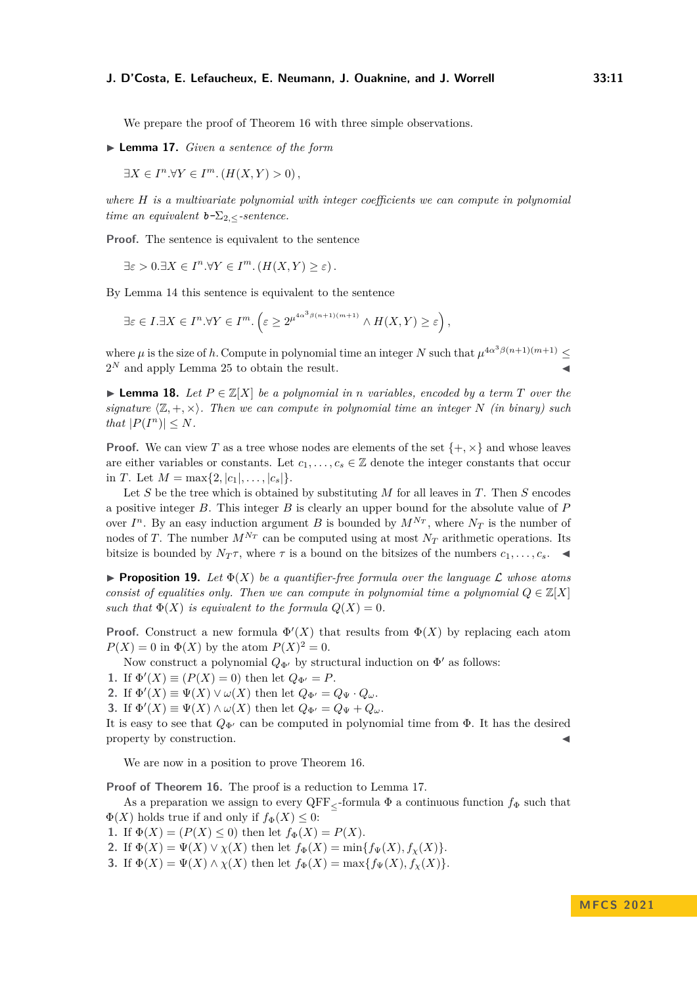We prepare the proof of Theorem [16](#page-9-1) with three simple observations.

<span id="page-10-0"></span>▶ **Lemma 17.** *Given a sentence of the form*

$$
\exists X \in I^n. \forall Y \in I^m. (H(X, Y) > 0),
$$

*where H is a multivariate polynomial with integer coefficients we can compute in polynomial time an equivalent*  $b-\sum_{2,\leq}$ *-sentence.* 

**Proof.** The sentence is equivalent to the sentence

 $\exists \varepsilon > 0. \exists X \in I^n. \forall Y \in I^m. (H(X, Y) \ge \varepsilon).$ 

By Lemma [14](#page-9-0) this sentence is equivalent to the sentence

$$
\exists \varepsilon \in I. \exists X \in I^n. \forall Y \in I^m. \left( \varepsilon \ge 2^{\mu^{4\alpha^3 \beta (n+1)(m+1)}} \wedge H(X, Y) \ge \varepsilon \right),
$$

where  $\mu$  is the size of *h*. Compute in polynomial time an integer *N* such that  $\mu^{4\alpha^3\beta(n+1)(m+1)} \le$  $2^N$  and apply Lemma [25](#page-17-0) to obtain the result.

<span id="page-10-1"></span>▶ **Lemma 18.** Let  $P \in \mathbb{Z}[X]$  be a polynomial in *n* variables, encoded by a term  $T$  over the *signature*  $\langle \mathbb{Z}, +, \times \rangle$ *. Then we can compute in polynomial time an integer N (in binary) such that*  $|P(I^n)| \leq N$ *.* 

**Proof.** We can view T as a tree whose nodes are elements of the set  $\{+, \times\}$  and whose leaves are either variables or constants. Let  $c_1, \ldots, c_s \in \mathbb{Z}$  denote the integer constants that occur in *T*. Let  $M = \max\{2, |c_1|, \ldots, |c_s|\}.$ 

Let *S* be the tree which is obtained by substituting *M* for all leaves in *T*. Then *S* encodes a positive integer *B*. This integer *B* is clearly an upper bound for the absolute value of *P* over  $I^n$ . By an easy induction argument *B* is bounded by  $M^{N_T}$ , where  $N_T$  is the number of nodes of *T*. The number  $M^{N_T}$  can be computed using at most  $N_T$  arithmetic operations. Its bitsize is bounded by  $N_T\tau$ , where  $\tau$  is a bound on the bitsizes of the numbers  $c_1, \ldots, c_s$ .

<span id="page-10-2"></span>**• Proposition 19.** Let  $\Phi(X)$  be a quantifier-free formula over the language L whose atoms *consist of equalities only. Then we can compute in polynomial time a polynomial*  $Q \in \mathbb{Z}[X]$ *such that*  $\Phi(X)$  *is equivalent to the formula*  $Q(X) = 0$ *.* 

**Proof.** Construct a new formula  $\Phi'(X)$  that results from  $\Phi(X)$  by replacing each atom *P*(*X*) = 0 in  $\Phi$ (*X*) by the atom *P*(*X*)<sup>2</sup> = 0.

Now construct a polynomial  $Q_{\Phi'}$  by structural induction on  $\Phi'$  as follows:

**1.** If  $\Phi'(X) \equiv (P(X) = 0)$  then let  $Q_{\Phi'} = P$ .

**2.** If  $\Phi'(X) \equiv \Psi(X) \vee \omega(X)$  then let  $Q_{\Phi'} = Q_{\Psi} \cdot Q_{\omega}$ .

**3.** If  $\Phi'(X) \equiv \Psi(X) \wedge \omega(X)$  then let  $Q_{\Phi'} = Q_{\Psi} + Q_{\omega}$ .

It is easy to see that  $Q_{\Phi'}$  can be computed in polynomial time from  $\Phi$ . It has the desired property by construction.

We are now in a position to prove Theorem [16.](#page-9-1)

**Proof of Theorem [16.](#page-9-1)** The proof is a reduction to Lemma [17.](#page-10-0)

As a preparation we assign to every  $\text{QFF}_{\leq}$ -formula  $\Phi$  a continuous function  $f_{\Phi}$  such that  $\Phi(X)$  holds true if and only if  $f_{\Phi}(X) \leq 0$ :

- **1.** If  $\Phi(X) = (P(X) \leq 0)$  then let  $f_{\Phi}(X) = P(X)$ .
- **2.** If  $\Phi(X) = \Psi(X) \vee \chi(X)$  then let  $f_{\Phi}(X) = \min\{f_{\Psi}(X), f_{\chi}(X)\}.$
- **3.** If  $\Phi(X) = \Psi(X) \wedge \chi(X)$  then let  $f_{\Phi}(X) = \max\{f_{\Psi}(X), f_{\chi}(X)\}.$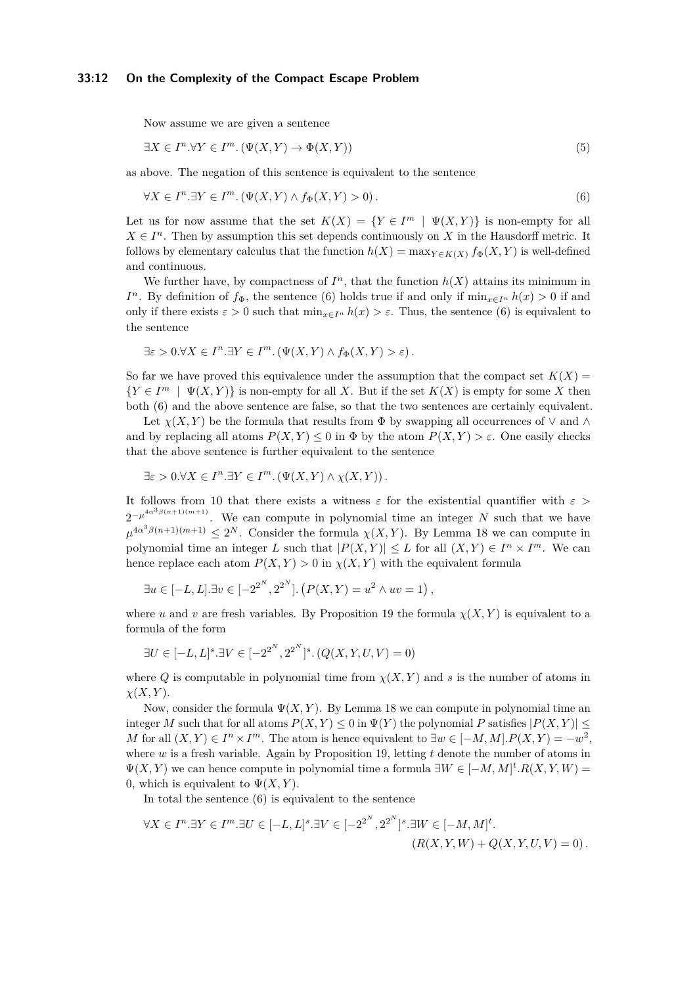### **33:12 On the Complexity of the Compact Escape Problem**

<span id="page-11-1"></span>Now assume we are given a sentence

$$
\exists X \in I^n. \forall Y \in I^m. \left(\Psi(X, Y) \to \Phi(X, Y)\right) \tag{5}
$$

as above. The negation of this sentence is equivalent to the sentence

<span id="page-11-0"></span>
$$
\forall X \in I^n. \exists Y \in I^m. \left(\Psi(X, Y) \land f_{\Phi}(X, Y) > 0\right). \tag{6}
$$

Let us for now assume that the set  $K(X) = \{ Y \in I^m \mid \Psi(X, Y) \}$  is non-empty for all  $X \in I<sup>n</sup>$ . Then by assumption this set depends continuously on *X* in the Hausdorff metric. It follows by elementary calculus that the function  $h(X) = \max_{Y \in K(X)} f_{\Phi}(X, Y)$  is well-defined and continuous.

We further have, by compactness of  $I<sup>n</sup>$ , that the function  $h(X)$  attains its minimum in *I*<sup>*n*</sup>. By definition of  $f_{\Phi}$ , the sentence [\(6\)](#page-11-0) holds true if and only if  $\min_{x \in I^n} h(x) > 0$  if and only if there exists  $\varepsilon > 0$  such that  $\min_{x \in I^n} h(x) > \varepsilon$ . Thus, the sentence [\(6\)](#page-11-0) is equivalent to the sentence

$$
\exists \varepsilon > 0. \forall X \in I^n. \exists Y \in I^m. \left( \Psi(X, Y) \land f_{\Phi}(X, Y) > \varepsilon \right).
$$

So far we have proved this equivalence under the assumption that the compact set  $K(X)$  ${Y \in I^m \mid \Psi(X, Y)}$  is non-empty for all *X*. But if the set  $K(X)$  is empty for some *X* then both [\(6\)](#page-11-0) and the above sentence are false, so that the two sentences are certainly equivalent.

Let  $\chi(X, Y)$  be the formula that results from  $\Phi$  by swapping all occurrences of  $\vee$  and  $\wedge$ and by replacing all atoms  $P(X, Y) \leq 0$  in  $\Phi$  by the atom  $P(X, Y) \geq \varepsilon$ . One easily checks that the above sentence is further equivalent to the sentence

$$
\exists \varepsilon > 0. \forall X \in I^n. \exists Y \in I^m. \left( \Psi(X, Y) \wedge \chi(X, Y) \right).
$$

It follows from [10](#page-7-2) that there exists a witness  $\varepsilon$  for the existential quantifier with  $\varepsilon$  >  $2^{-\mu^{4\alpha^3\beta(n+1)(m+1)}}$ . We can compute in polynomial time an integer N such that we have  $\mu^{4\alpha^3\beta(n+1)(m+1)} \leq 2^N$ . Consider the formula  $\chi(X, Y)$ . By Lemma [18](#page-10-1) we can compute in polynomial time an integer *L* such that  $|P(X,Y)| \leq L$  for all  $(X,Y) \in I^n \times I^m$ . We can hence replace each atom  $P(X, Y) > 0$  in  $\chi(X, Y)$  with the equivalent formula

$$
\exists u \in [-L, L]. \exists v \in [-2^{2^N}, 2^{2^N}]. (P(X, Y) = u^2 \wedge uv = 1),
$$

where *u* and *v* are fresh variables. By Proposition [19](#page-10-2) the formula  $\chi(X, Y)$  is equivalent to a formula of the form

$$
\exists U \in [-L, L]^s. \exists V \in [-2^{2^N}, 2^{2^N}]^s. (Q(X, Y, U, V) = 0)
$$

where *Q* is computable in polynomial time from  $\chi(X, Y)$  and *s* is the number of atoms in *χ*(*X, Y* ).

Now, consider the formula  $\Psi(X, Y)$ . By Lemma [18](#page-10-1) we can compute in polynomial time an integer *M* such that for all atoms  $P(X, Y) \leq 0$  in  $\Psi(Y)$  the polynomial *P* satisfies  $|P(X, Y)| \leq$ *M* for all  $(X, Y) \in I^n \times I^m$ . The atom is hence equivalent to  $\exists w \in [-M, M]$ .  $P(X, Y) = -w^2$ . where *w* is a fresh variable. Again by Proposition [19,](#page-10-2) letting *t* denote the number of atoms in  $Ψ(X, Y)$  we can hence compute in polynomial time a formula  $∃W ∈ [−M, M]$ <sup>t</sup>. $R(X, Y, W)$  = 0, which is equivalent to  $\Psi(X, Y)$ .

In total the sentence  $(6)$  is equivalent to the sentence

$$
\forall X \in I^n. \exists Y \in I^m. \exists U \in [-L, L]^s. \exists V \in [-2^{2^N}, 2^{2^N}]^s. \exists W \in [-M, M]^t. (R(X, Y, W) + Q(X, Y, U, V) = 0).
$$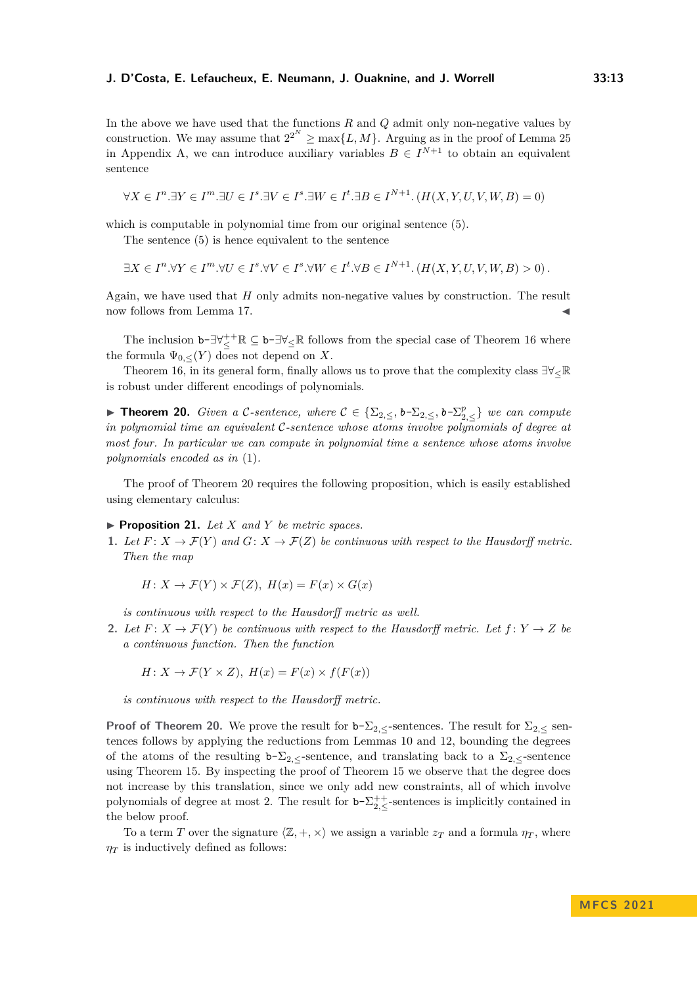In the above we have used that the functions *R* and *Q* admit only non-negative values by construction. We may assume that  $2^{2^N} \ge \max\{L, M\}$ . Arguing as in the proof of Lemma [25](#page-17-0) in Appendix [A,](#page-17-1) we can introduce auxiliary variables  $B \in I^{N+1}$  to obtain an equivalent sentence

$$
\forall X \in I^n. \exists Y \in I^m. \exists U \in I^s. \exists V \in I^s. \exists W \in I^t. \exists B \in I^{N+1}. (H(X, Y, U, V, W, B) = 0)
$$

which is computable in polynomial time from our original sentence  $(5)$ .

The sentence [\(5\)](#page-11-1) is hence equivalent to the sentence

$$
\exists X \in I^n. \forall Y \in I^m. \forall U \in I^s. \forall V \in I^s. \forall W \in I^t. \forall B \in I^{N+1}. (H(X, Y, U, V, W, B) > 0).
$$

Again, we have used that *H* only admits non-negative values by construction. The result now follows from Lemma [17.](#page-10-0)

The inclusion  $b-\exists \forall_{\leq}^{++} \mathbb{R} \subseteq b-\exists \forall_{\leq} \mathbb{R}$  follows from the special case of Theorem [16](#page-9-1) where the formula  $\Psi_{0,\leq}(Y)$  does not depend on X.

Theorem [16,](#page-9-1) in its general form, finally allows us to prove that the complexity class  $\exists\forall\leq\mathbb{R}$ is robust under different encodings of polynomials.

<span id="page-12-0"></span>▶ **Theorem 20.** *Given a C-sentence, where*  $C \in {\{\Sigma_{2,\leq},b-\Sigma_{2,\leq}^p, b-\Sigma_{2,\leq}^p\}}$  *we can compute in polynomial time an equivalent* C*-sentence whose atoms involve polynomials of degree at most four. In particular we can compute in polynomial time a sentence whose atoms involve polynomials encoded as in* [\(1\)](#page-2-4)*.*

The proof of Theorem [20](#page-12-0) requires the following proposition, which is easily established using elementary calculus:

<span id="page-12-1"></span> $\blacktriangleright$  **Proposition 21.** *Let X* and *Y be metric spaces.* 

**1.** Let  $F: X \to \mathcal{F}(Y)$  and  $G: X \to \mathcal{F}(Z)$  be continuous with respect to the Hausdorff metric. *Then the map*

$$
H: X \to \mathcal{F}(Y) \times \mathcal{F}(Z), H(x) = F(x) \times G(x)
$$

*is continuous with respect to the Hausdorff metric as well.*

**2.** Let  $F: X \to \mathcal{F}(Y)$  be continuous with respect to the Hausdorff metric. Let  $f: Y \to Z$  be *a continuous function. Then the function*

$$
H: X \to \mathcal{F}(Y \times Z), H(x) = F(x) \times f(F(x))
$$

*is continuous with respect to the Hausdorff metric.*

**Proof of Theorem [20.](#page-12-0)** We prove the result for  $b-\Sigma_2$ , sentences. The result for  $\Sigma_2$ , sentences follows by applying the reductions from Lemmas [10](#page-7-2) and [12,](#page-8-0) bounding the degrees of the atoms of the resulting  $b-\Sigma_2$ , sentence, and translating back to a  $\Sigma_2$ , sentence using Theorem [15.](#page-9-2) By inspecting the proof of Theorem [15](#page-9-2) we observe that the degree does not increase by this translation, since we only add new constraints, all of which involve polynomials of degree at most 2. The result for  $b-\sum_{2,\leq}^{++}$ -sentences is implicitly contained in the below proof.

To a term *T* over the signature  $\langle \mathbb{Z}, +, \times \rangle$  we assign a variable  $z_T$  and a formula  $\eta_T$ , where  $\eta$ *T* is inductively defined as follows: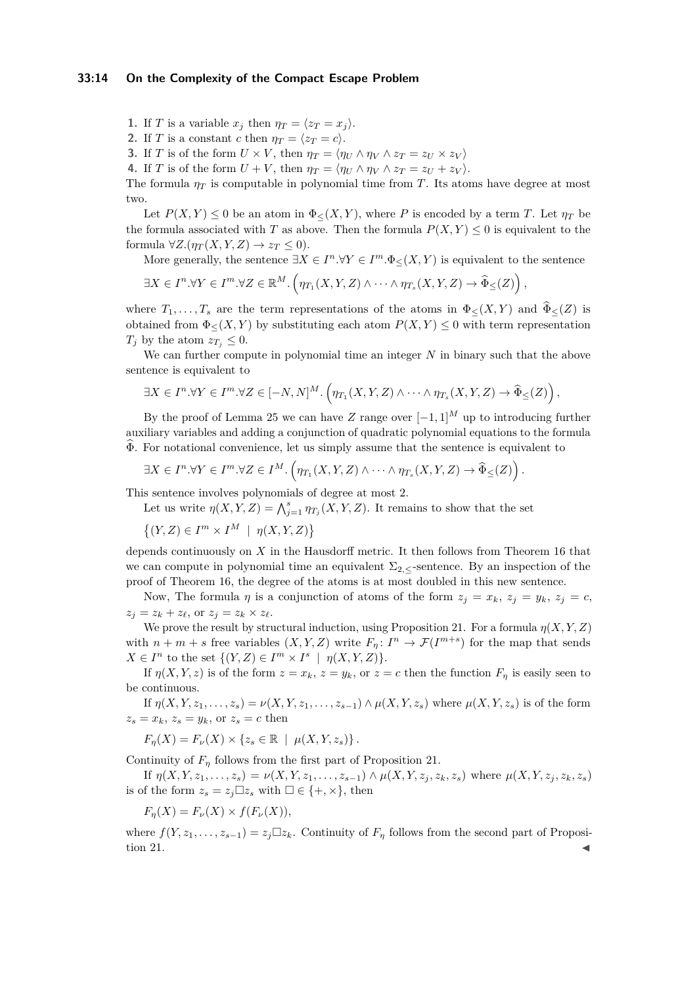- **1.** If *T* is a variable  $x_j$  then  $\eta_T = \langle z_T = x_j \rangle$ .
- **2.** If *T* is a constant *c* then  $\eta_T = \langle z_T = c \rangle$ .
- **3.** If *T* is of the form  $U \times V$ , then  $\eta_T = \langle \eta_U \wedge \eta_V \wedge z_T = z_U \times z_V \rangle$
- **4.** If *T* is of the form  $U + V$ , then  $\eta_T = \langle \eta_U \wedge \eta_V \wedge z_T = z_U + z_V \rangle$ .

The formula  $\eta_T$  is computable in polynomial time from *T*. Its atoms have degree at most two.

Let  $P(X, Y) \leq 0$  be an atom in  $\Phi_{\leq}(X, Y)$ , where *P* is encoded by a term *T*. Let  $\eta_T$  be the formula associated with *T* as above. Then the formula  $P(X, Y) \leq 0$  is equivalent to the formula  $\forall Z.(\eta_T(X, Y, Z) \to z_T \leq 0).$ 

More generally, the sentence  $\exists X \in I^n \forall Y \in I^m \cdot \Phi_{\leq}(X, Y)$  is equivalent to the sentence

$$
\exists X \in I^n. \forall Y \in I^m. \forall Z \in \mathbb{R}^M. \left( \eta_{T_1}(X, Y, Z) \wedge \cdots \wedge \eta_{T_s}(X, Y, Z) \to \widehat{\Phi}_{\leq}(Z) \right),
$$

where  $T_1, \ldots, T_s$  are the term representations of the atoms in  $\Phi_{\leq}(X, Y)$  and  $\widehat{\Phi}_{\leq}(Z)$  is obtained from  $\Phi_{\leq}(X, Y)$  by substituting each atom  $P(X, Y) \leq 0$  with term representation *T<sub>j</sub>* by the atom  $z_{T_i} \leq 0$ .

We can further compute in polynomial time an integer *N* in binary such that the above sentence is equivalent to

$$
\exists X \in I^n. \forall Y \in I^m. \forall Z \in [-N, N]^M. \left( \eta_{T_1}(X, Y, Z) \wedge \cdots \wedge \eta_{T_s}(X, Y, Z) \rightarrow \widehat{\Phi}_{\leq}(Z) \right),
$$

By the proof of Lemma [25](#page-17-0) we can have *Z* range over  $[-1, 1]^M$  up to introducing further auxiliary variables and adding a conjunction of quadratic polynomial equations to the formula  $\Phi$ . For notational convenience, let us simply assume that the sentence is equivalent to

$$
\exists X \in I^n. \forall Y \in I^m. \forall Z \in I^M. \left(\eta_{T_1}(X, Y, Z) \wedge \cdots \wedge \eta_{T_s}(X, Y, Z) \rightarrow \widehat{\Phi}_{\leq}(Z)\right).
$$

This sentence involves polynomials of degree at most 2.

- Let us write  $\eta(X, Y, Z) = \bigwedge_{j=1}^{s} \eta_{T_j}(X, Y, Z)$ . It remains to show that the set
- $\{(Y, Z) \in I^m \times I^M \mid \eta(X, Y, Z)\}$

depends continuously on *X* in the Hausdorff metric. It then follows from Theorem [16](#page-9-1) that we can compute in polynomial time an equivalent  $\Sigma_2$ , sentence. By an inspection of the proof of Theorem [16,](#page-9-1) the degree of the atoms is at most doubled in this new sentence.

Now, The formula *η* is a conjunction of atoms of the form  $z_j = x_k$ ,  $z_j = y_k$ ,  $z_j = c$ ,  $z_j = z_k + z_\ell$ , or  $z_j = z_k \times z_\ell$ .

We prove the result by structural induction, using Proposition [21.](#page-12-1) For a formula  $\eta(X, Y, Z)$ with  $n + m + s$  free variables  $(X, Y, Z)$  write  $F_n: I^n \to \mathcal{F}(I^{m+s})$  for the map that sends  $X \in I^n$  to the set  $\{(Y, Z) \in I^m \times I^s \mid \eta(X, Y, Z)\}.$ 

If  $\eta(X, Y, z)$  is of the form  $z = x_k$ ,  $z = y_k$ , or  $z = c$  then the function  $F_\eta$  is easily seen to be continuous.

If  $\eta(X, Y, z_1, \ldots, z_s) = \nu(X, Y, z_1, \ldots, z_{s-1}) \wedge \mu(X, Y, z_s)$  where  $\mu(X, Y, z_s)$  is of the form  $z_s = x_k$ ,  $z_s = y_k$ , or  $z_s = c$  then

$$
F_{\eta}(X) = F_{\nu}(X) \times \{z_s \in \mathbb{R} \mid \mu(X, Y, z_s)\}.
$$

Continuity of  $F_n$  follows from the first part of Proposition [21.](#page-12-1)

If  $\eta(X, Y, z_1, \ldots, z_s) = \nu(X, Y, z_1, \ldots, z_{s-1}) \wedge \mu(X, Y, z_i, z_k, z_s)$  where  $\mu(X, Y, z_i, z_k, z_s)$ is of the form  $z_s = z_j \square z_s$  with  $\square \in \{+, \times\}$ , then

 $F_n(X) = F_\nu(X) \times f(F_\nu(X)),$ 

where  $f(Y, z_1, \ldots, z_{s-1}) = z_j \square z_k$ . Continuity of  $F_\eta$  follows from the second part of Proposi- $\frac{1}{\sqrt{2}}$  tion [21.](#page-12-1)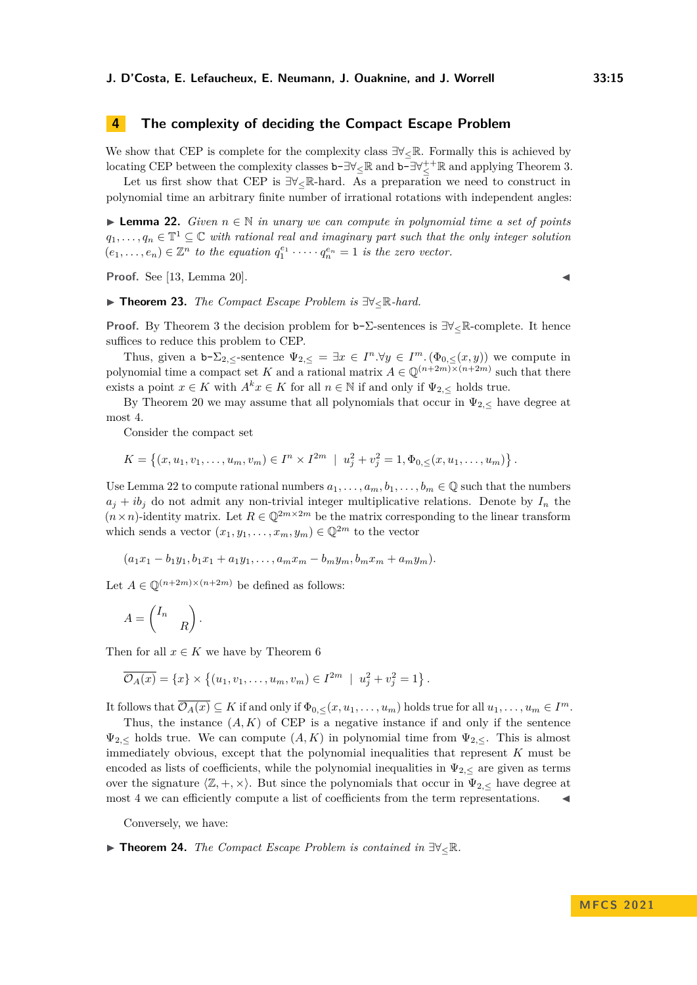# **4 The complexity of deciding the Compact Escape Problem**

We show that CEP is complete for the complexity class  $\exists \forall \in \mathbb{R}$ . Formally this is achieved by locating CEP between the complexity classes  $\mathbf{b} - \exists \forall_{\leq} \mathbb{R}$  and  $\mathbf{b} - \exists \forall_{\leq}^{++} \mathbb{R}$  and applying Theorem [3.](#page-4-0)

Let us first show that CEP is  $\exists \forall \in \mathbb{R}$ -hard. As a preparation we need to construct in polynomial time an arbitrary finite number of irrational rotations with independent angles:

<span id="page-14-0"></span>▶ **Lemma 22.** *Given n* ∈ N *in unary we can compute in polynomial time a set of points*  $q_1, \ldots, q_n \in \mathbb{T}^1 \subseteq \mathbb{C}$  with rational real and imaginary part such that the only integer solution  $(e_1, \ldots, e_n) \in \mathbb{Z}^n$  *to the equation*  $q_1^{e_1} \cdot \cdots \cdot q_n^{e_n} = 1$  *is the zero vector.* 

**Proof.** See [\[13,](#page-16-0) Lemma 20].  $\blacksquare$ 

▶ **Theorem 23.** *The Compact Escape Problem is* ∃∀≤R*-hard.*

**Proof.** By Theorem [3](#page-4-0) the decision problem for b-Σ-sentences is ∃∀≤R-complete. It hence suffices to reduce this problem to CEP.

Thus, given a  $b-\sum_{2,\leq}$ -sentence  $\Psi_{2,\leq} = \exists x \in I^n \forall y \in I^m$ .  $(\Phi_{0,\leq}(x,y))$  we compute in polynomial time a compact set *K* and a rational matrix  $A \in \mathbb{Q}^{(n+2m)\times(n+2m)}$  such that there exists a point  $x \in K$  with  $A^k x \in K$  for all  $n \in \mathbb{N}$  if and only if  $\Psi_{2,\leq}$  holds true.

By Theorem [20](#page-12-0) we may assume that all polynomials that occur in  $\Psi_{2,\leq}$  have degree at most 4.

Consider the compact set

$$
K = \left\{ (x, u_1, v_1, \dots, u_m, v_m) \in I^n \times I^{2m} \mid u_j^2 + v_j^2 = 1, \Phi_{0, \leq}(x, u_1, \dots, u_m) \right\}.
$$

Use Lemma [22](#page-14-0) to compute rational numbers  $a_1, \ldots, a_m, b_1, \ldots, b_m \in \mathbb{Q}$  such that the numbers  $a_j + ib_j$  do not admit any non-trivial integer multiplicative relations. Denote by  $I_n$  the  $(n \times n)$ -identity matrix. Let  $R \in \mathbb{Q}^{2m \times 2m}$  be the matrix corresponding to the linear transform which sends a vector  $(x_1, y_1, \ldots, x_m, y_m) \in \mathbb{Q}^{2m}$  to the vector

$$
(a_1x_1 - b_1y_1, b_1x_1 + a_1y_1, \ldots, a_mx_m - b_my_m, b_mx_m + a_my_m).
$$

Let  $A \in \mathbb{O}^{(n+2m)\times(n+2m)}$  be defined as follows:

$$
A = \begin{pmatrix} I_n & \\ & R \end{pmatrix}.
$$

Then for all  $x \in K$  we have by Theorem [6](#page-6-2)

$$
\overline{\mathcal{O}_A(x)} = \{x\} \times \left\{ (u_1, v_1, \dots, u_m, v_m) \in I^{2m} \mid u_j^2 + v_j^2 = 1 \right\}.
$$

It follows that  $\overline{\mathcal{O}_A(x)} \subseteq K$  if and only if  $\Phi_{0,\leq}(x, u_1, \ldots, u_m)$  holds true for all  $u_1, \ldots, u_m \in I^m$ .

Thus, the instance  $(A, K)$  of CEP is a negative instance if and only if the sentence  $\Psi_{2,\leq}$  holds true. We can compute  $(A, K)$  in polynomial time from  $\Psi_{2,\leq}$ . This is almost immediately obvious, except that the polynomial inequalities that represent *K* must be encoded as lists of coefficients, while the polynomial inequalities in  $\Psi_{2,\leq}$  are given as terms over the signature  $\langle \mathbb{Z}, +, \times \rangle$ . But since the polynomials that occur in  $\Psi_{2,<}$  have degree at most 4 we can efficiently compute a list of coefficients from the term representations.

Conversely, we have:

<span id="page-14-1"></span>▶ **Theorem 24.** *The Compact Escape Problem is contained in* ∃∀≤R*.*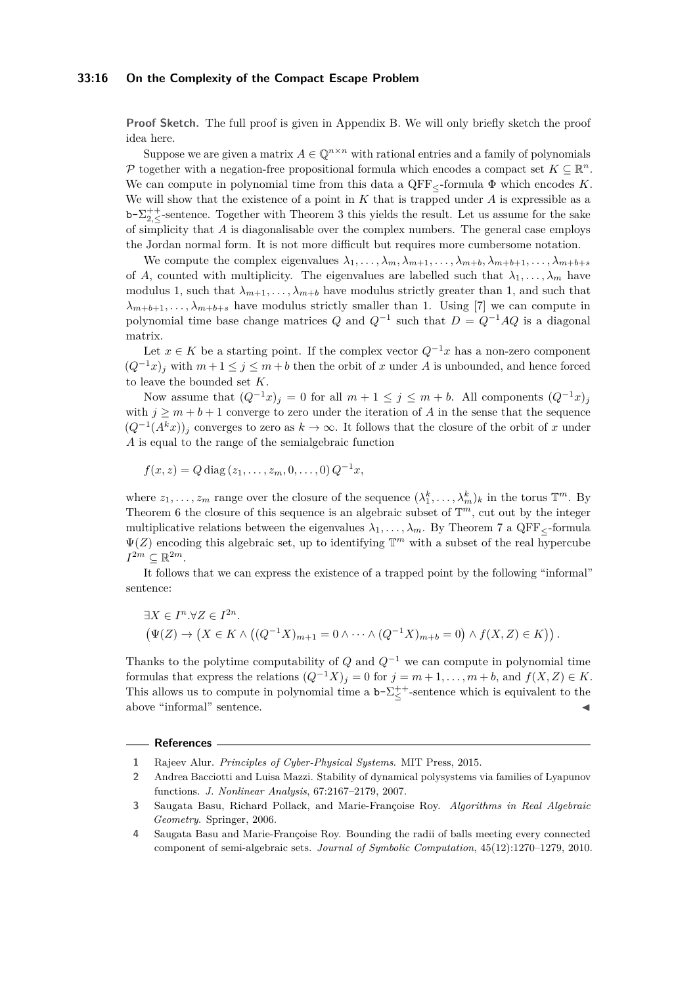### **33:16 On the Complexity of the Compact Escape Problem**

**Proof Sketch.** The full proof is given in Appendix [B.](#page-17-2) We will only briefly sketch the proof idea here.

Suppose we are given a matrix  $A \in \mathbb{Q}^{n \times n}$  with rational entries and a family of polynomials P together with a negation-free propositional formula which encodes a compact set  $K \subseteq \mathbb{R}^n$ . We can compute in polynomial time from this data a  $QFF<sub>5</sub>$ -formula  $\Phi$  which encodes K. We will show that the existence of a point in *K* that is trapped under *A* is expressible as a b- $\Sigma_{2,\leq}^{++}$ -sentence. Together with Theorem [3](#page-4-0) this yields the result. Let us assume for the sake of simplicity that *A* is diagonalisable over the complex numbers. The general case employs the Jordan normal form. It is not more difficult but requires more cumbersome notation.

We compute the complex eigenvalues  $\lambda_1, \ldots, \lambda_m, \lambda_{m+1}, \ldots, \lambda_{m+b}, \lambda_{m+b+1}, \ldots, \lambda_{m+b+s}$ of *A*, counted with multiplicity. The eigenvalues are labelled such that  $\lambda_1, \ldots, \lambda_m$  have modulus 1, such that  $\lambda_{m+1}, \ldots, \lambda_{m+b}$  have modulus strictly greater than 1, and such that  $\lambda_{m+b+1}, \ldots, \lambda_{m+b+s}$  have modulus strictly smaller than 1. Using [\[7\]](#page-16-21) we can compute in polynomial time base change matrices  $Q$  and  $Q^{-1}$  such that  $D = Q^{-1}AQ$  is a diagonal matrix.

Let  $x \in K$  be a starting point. If the complex vector  $Q^{-1}x$  has a non-zero component  $(Q^{-1}x)_j$  with  $m+1 \leq j \leq m+b$  then the orbit of x under A is unbounded, and hence forced to leave the bounded set *K*.

Now assume that  $(Q^{-1}x)_j = 0$  for all  $m + 1 \le j \le m + b$ . All components  $(Q^{-1}x)_j$ with  $j \geq m + b + 1$  converge to zero under the iteration of A in the sense that the sequence  $(Q^{-1}(A^kx))_j$  converges to zero as  $k \to \infty$ . It follows that the closure of the orbit of *x* under *A* is equal to the range of the semialgebraic function

 $f(x, z) = Q \operatorname{diag}(z_1, \ldots, z_m, 0, \ldots, 0) Q^{-1}x,$ 

where  $z_1, \ldots, z_m$  range over the closure of the sequence  $(\lambda_1^k, \ldots, \lambda_m^k)_k$  in the torus  $\mathbb{T}^m$ . By Theorem [6](#page-6-2) the closure of this sequence is an algebraic subset of  $\mathbb{T}^m$ , cut out by the integer multiplicative relations between the eigenvalues  $\lambda_1, \ldots, \lambda_m$ . By Theorem [7](#page-6-3) a QFF<sub> $\lt$ </sub>-formula  $\Psi(Z)$  encoding this algebraic set, up to identifying  $\mathbb{T}^m$  with a subset of the real hypercube  $I^{2m} \subseteq \mathbb{R}^{2m}$ .

It follows that we can express the existence of a trapped point by the following "informal" sentence:

$$
\exists X \in I^n. \forall Z \in I^{2n}.
$$
  
\n
$$
(\Psi(Z) \to (X \in K \wedge ((Q^{-1}X)_{m+1} = 0 \wedge \cdots \wedge (Q^{-1}X)_{m+b} = 0) \wedge f(X, Z) \in K)).
$$

Thanks to the polytime computability of  $Q$  and  $Q^{-1}$  we can compute in polynomial time formulas that express the relations  $(Q^{-1}X)_j = 0$  for  $j = m+1, \ldots, m+b$ , and  $f(X, Z) \in K$ . This allows us to compute in polynomial time a  $b-\sum_{\leq}^{++}$ -sentence which is equivalent to the above "informal" sentence.

#### **References**

- <span id="page-15-1"></span>**1** Rajeev Alur. *Principles of Cyber-Physical Systems*. MIT Press, 2015.
- <span id="page-15-0"></span>**2** Andrea Bacciotti and Luisa Mazzi. Stability of dynamical polysystems via families of Lyapunov functions. *J. Nonlinear Analysis*, 67:2167–2179, 2007.
- <span id="page-15-2"></span>**3** Saugata Basu, Richard Pollack, and Marie-Françoise Roy. *Algorithms in Real Algebraic Geometry*. Springer, 2006.
- <span id="page-15-3"></span>**4** Saugata Basu and Marie-Françoise Roy. Bounding the radii of balls meeting every connected component of semi-algebraic sets. *Journal of Symbolic Computation*, 45(12):1270–1279, 2010.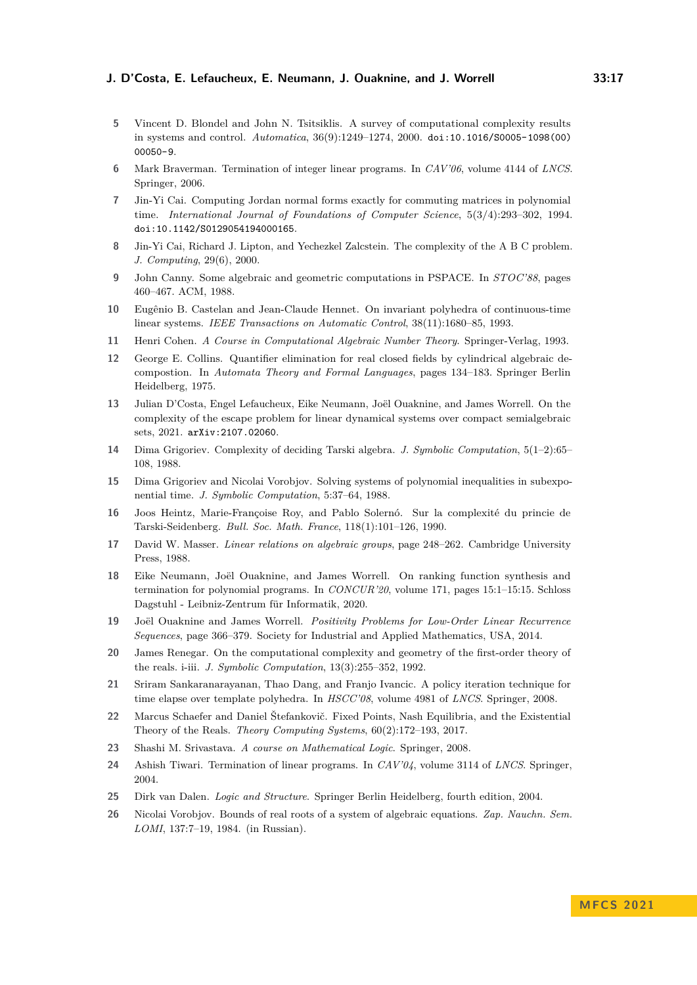- <span id="page-16-2"></span>**5** Vincent D. Blondel and John N. Tsitsiklis. A survey of computational complexity results in systems and control. *Automatica*, 36(9):1249–1274, 2000. [doi:10.1016/S0005-1098\(00\)](https://doi.org/10.1016/S0005-1098(00)00050-9) [00050-9](https://doi.org/10.1016/S0005-1098(00)00050-9).
- <span id="page-16-5"></span>**6** Mark Braverman. Termination of integer linear programs. In *CAV'06*, volume 4144 of *LNCS*. Springer, 2006.
- <span id="page-16-21"></span>**7** Jin-Yi Cai. Computing Jordan normal forms exactly for commuting matrices in polynomial time. *International Journal of Foundations of Computer Science*, 5(3/4):293–302, 1994. [doi:10.1142/S0129054194000165](https://doi.org/10.1142/S0129054194000165).
- <span id="page-16-18"></span>**8** Jin-Yi Cai, Richard J. Lipton, and Yechezkel Zalcstein. The complexity of the A B C problem. *J. Computing*, 29(6), 2000.
- <span id="page-16-11"></span>**9** John Canny. Some algebraic and geometric computations in PSPACE. In *STOC'88*, pages 460–467. ACM, 1988.
- <span id="page-16-1"></span>**10** Eugênio B. Castelan and Jean-Claude Hennet. On invariant polyhedra of continuous-time linear systems. *IEEE Transactions on Automatic Control*, 38(11):1680–85, 1993.
- <span id="page-16-20"></span>**11** Henri Cohen. *A Course in Computational Algebraic Number Theory*. Springer-Verlag, 1993.
- <span id="page-16-7"></span>**12** George E. Collins. Quantifier elimination for real closed fields by cylindrical algebraic decompostion. In *Automata Theory and Formal Languages*, pages 134–183. Springer Berlin Heidelberg, 1975.
- <span id="page-16-0"></span>**13** Julian D'Costa, Engel Lefaucheux, Eike Neumann, Joël Ouaknine, and James Worrell. On the complexity of the escape problem for linear dynamical systems over compact semialgebraic sets, 2021. [arXiv:2107.02060](http://arxiv.org/abs/2107.02060).
- <span id="page-16-8"></span>**14** Dima Grigoriev. Complexity of deciding Tarski algebra. *J. Symbolic Computation*, 5(1–2):65– 108, 1988.
- <span id="page-16-16"></span>**15** Dima Grigoriev and Nicolai Vorobjov. Solving systems of polynomial inequalities in subexponential time. *J. Symbolic Computation*, 5:37–64, 1988.
- <span id="page-16-9"></span>**16** Joos Heintz, Marie-Françoise Roy, and Pablo Solernó. Sur la complexité du princie de Tarski-Seidenberg. *Bull. Soc. Math. France*, 118(1):101–126, 1990.
- <span id="page-16-19"></span>**17** David W. Masser. *Linear relations on algebraic groups*, page 248–262. Cambridge University Press, 1988.
- <span id="page-16-6"></span>**18** Eike Neumann, Joël Ouaknine, and James Worrell. On ranking function synthesis and termination for polynomial programs. In *CONCUR'20*, volume 171, pages 15:1–15:15. Schloss Dagstuhl - Leibniz-Zentrum für Informatik, 2020.
- <span id="page-16-17"></span>**19** Joël Ouaknine and James Worrell. *Positivity Problems for Low-Order Linear Recurrence Sequences*, page 366–379. Society for Industrial and Applied Mathematics, USA, 2014.
- <span id="page-16-10"></span>**20** James Renegar. On the computational complexity and geometry of the first-order theory of the reals. i-iii. *J. Symbolic Computation*, 13(3):255–352, 1992.
- <span id="page-16-3"></span>**21** Sriram Sankaranarayanan, Thao Dang, and Franjo Ivancic. A policy iteration technique for time elapse over template polyhedra. In *HSCC'08*, volume 4981 of *LNCS*. Springer, 2008.
- <span id="page-16-14"></span>**22** Marcus Schaefer and Daniel Štefankovič. Fixed Points, Nash Equilibria, and the Existential Theory of the Reals. *Theory Computing Systems*, 60(2):172–193, 2017.
- <span id="page-16-12"></span>**23** Shashi M. Srivastava. *A course on Mathematical Logic*. Springer, 2008.
- <span id="page-16-4"></span>**24** Ashish Tiwari. Termination of linear programs. In *CAV'04*, volume 3114 of *LNCS*. Springer, 2004.
- <span id="page-16-13"></span>**25** Dirk van Dalen. *Logic and Structure*. Springer Berlin Heidelberg, fourth edition, 2004.
- <span id="page-16-15"></span>**26** Nicolai Vorobjov. Bounds of real roots of a system of algebraic equations. *Zap. Nauchn. Sem. LOMI*, 137:7–19, 1984. (in Russian).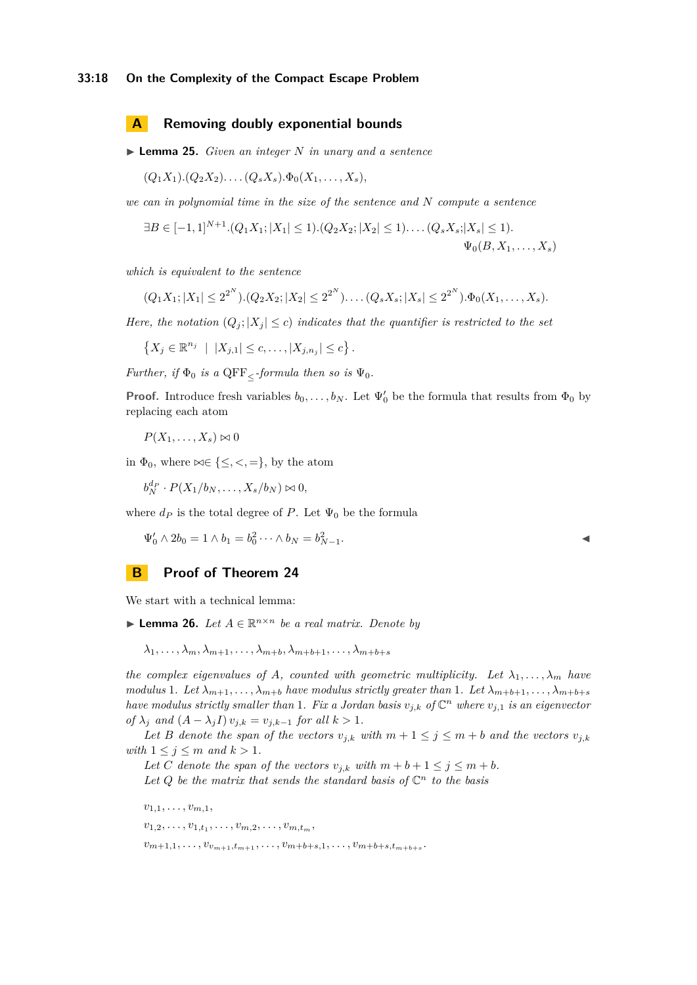### **33:18 On the Complexity of the Compact Escape Problem**

### <span id="page-17-1"></span>**A Removing doubly exponential bounds**

<span id="page-17-0"></span>▶ **Lemma 25.** *Given an integer N in unary and a sentence*

$$
(Q_1X_1).(Q_2X_2)...(Q_sX_s).\Phi_0(X_1,...,X_s),
$$

*we can in polynomial time in the size of the sentence and N compute a sentence*

$$
\exists B \in [-1,1]^{N+1}. (Q_1X_1; |X_1| \le 1). (Q_2X_2; |X_2| \le 1). \dots (Q_sX_s; |X_s| \le 1). \Psi_0(B, X_1, \dots, X_s)
$$

*which is equivalent to the sentence*

$$
(Q_1X_1; |X_1| \le 2^{2^N}) \cdot (Q_2X_2; |X_2| \le 2^{2^N}) \cdot \ldots (Q_sX_s; |X_s| \le 2^{2^N}) \cdot \Phi_0(X_1, \ldots, X_s).
$$

*Here, the notation*  $(Q_j; |X_j| \leq c)$  *indicates that the quantifier is restricted to the set* 

$$
\left\{X_j \in \mathbb{R}^{n_j} \mid |X_{j,1}| \leq c, \ldots, |X_{j,n_j}| \leq c\right\}.
$$

*Further, if*  $\Phi_0$  *is a* QFF<sub> $\lt$ </sub>*-formula then so is*  $\Psi_0$ *.* 

**Proof.** Introduce fresh variables  $b_0, \ldots, b_N$ . Let  $\Psi'_0$  be the formula that results from  $\Phi_0$  by replacing each atom

$$
P(X_1,\ldots,X_s)\bowtie 0
$$

in  $\Phi_0$ , where  $\bowtie \in \{\leq, <, =\}$ , by the atom

$$
b_N^{d_P} \cdot P(X_1/b_N, \ldots, X_s/b_N) \bowtie 0,
$$

where  $d_P$  is the total degree of P. Let  $\Psi_0$  be the formula

$$
\Psi_0' \wedge 2b_0 = 1 \wedge b_1 = b_0^2 \cdots \wedge b_N = b_{N-1}^2.
$$

# <span id="page-17-2"></span>**B Proof of Theorem [24](#page-14-1)**

<span id="page-17-3"></span>We start with a technical lemma:

▶ **Lemma 26.** *Let*  $A \in \mathbb{R}^{n \times n}$  *be a real matrix. Denote by* 

 $\lambda_1, \ldots, \lambda_m, \lambda_{m+1}, \ldots, \lambda_{m+b}, \lambda_{m+b+1}, \ldots, \lambda_{m+b+s}$ 

*the complex eigenvalues of A, counted with geometric multiplicity. Let*  $\lambda_1, \ldots, \lambda_m$  *have modulus* 1*. Let*  $\lambda_{m+1}, \ldots, \lambda_{m+b}$  *have modulus strictly greater than* 1*. Let*  $\lambda_{m+b+1}, \ldots, \lambda_{m+b+s}$ *have modulus strictly smaller than* 1*. Fix a Jordan basis*  $v_{j,k}$  *of*  $\mathbb{C}^n$  *where*  $v_{j,1}$  *is an eigenvector of*  $\lambda_j$  *and*  $(A - \lambda_j I) v_{j,k} = v_{j,k-1}$  *for all*  $k > 1$ *.* 

*Let B denote the span of the vectors*  $v_{j,k}$  *with*  $m+1 \leq j \leq m+b$  *and the vectors*  $v_{j,k}$ *with*  $1 \leq j \leq m$  *and*  $k > 1$ *.* 

Let *C* denote the span of the vectors  $v_{j,k}$  with  $m + b + 1 \leq j \leq m + b$ . Let  $Q$  be the matrix that sends the standard basis of  $\mathbb{C}^n$  to the basis

 $v_{1,1}, \ldots, v_{m,1},$  $v_{1,2}, \ldots, v_{1,t_1}, \ldots, v_{m,2}, \ldots, v_{m,t_m}$  $v_{m+1,1}, \ldots, v_{v_{m+1},t_{m+1}}, \ldots, v_{m+b+s,1}, \ldots, v_{m+b+s,t_{m+b+s}}.$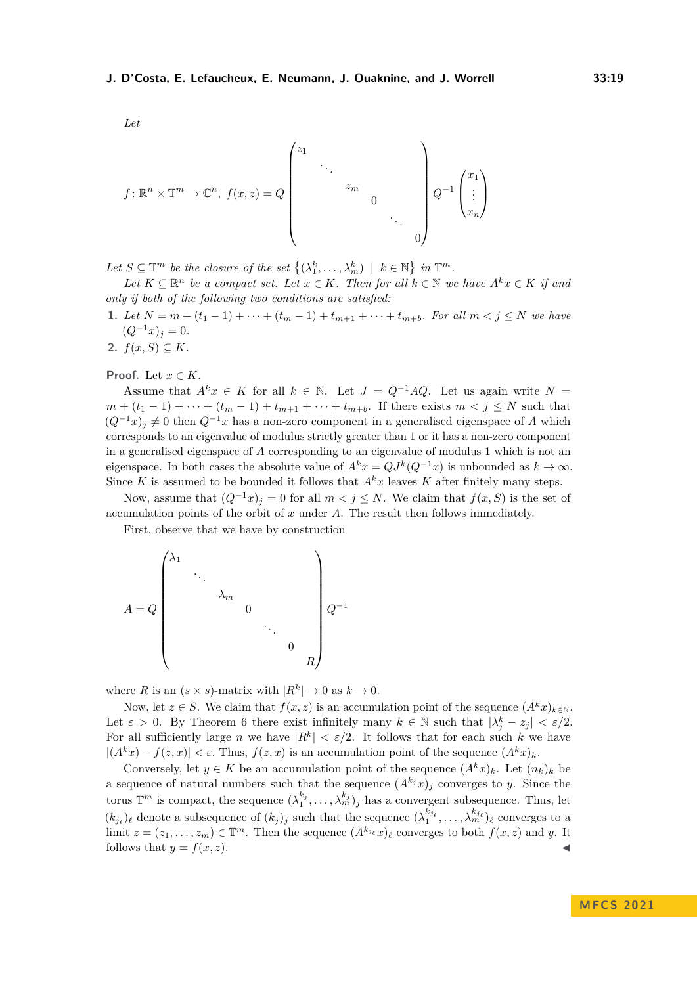$$
f: \mathbb{R}^{n} \times \mathbb{T}^{m} \to \mathbb{C}^{n}, f(x, z) = Q
$$
\n
$$
\begin{pmatrix}\nz_1 & & & \\
& \ddots & & \\
& & & 0 \\
& & & & \ddots \\
& & & & 0\n\end{pmatrix} Q^{-1} \begin{pmatrix}\nx_1 \\ \vdots \\ x_n\n\end{pmatrix}
$$

Let  $S \subseteq \mathbb{T}^m$  be the closure of the set  $\{(\lambda_1^k, \ldots, \lambda_m^k) \mid k \in \mathbb{N}\}\$ in  $\mathbb{T}^m$ .

*Let*  $K ⊆ \mathbb{R}^n$  *be a compact set. Let*  $x ∈ K$ *. Then for all*  $k ∈ \mathbb{N}$  *we have*  $A^k x ∈ K$  *if and only if both of the following two conditions are satisfied:*

**1.** *Let*  $N = m + (t_1 - 1) + \cdots + (t_m - 1) + t_{m+1} + \cdots + t_{m+b}$ *. For all*  $m < j \leq N$  *we have*  $(Q^{-1}x)_i = 0.$ 

2. 
$$
f(x, S) \subseteq K
$$
.

*Let*

**Proof.** Let  $x \in K$ .

Assume that  $A^k x \in K$  for all  $k \in \mathbb{N}$ . Let  $J = Q^{-1} A Q$ . Let us again write  $N =$  $m + (t_1 - 1) + \cdots + (t_m - 1) + t_{m+1} + \cdots + t_{m+b}$ . If there exists  $m < j \le N$  such that  $(Q^{-1}x)_j \neq 0$  then  $Q^{-1}x$  has a non-zero component in a generalised eigenspace of *A* which corresponds to an eigenvalue of modulus strictly greater than 1 or it has a non-zero component in a generalised eigenspace of *A* corresponding to an eigenvalue of modulus 1 which is not an eigenspace. In both cases the absolute value of  $A^k x = QJ^k(Q^{-1}x)$  is unbounded as  $k \to \infty$ . Since *K* is assumed to be bounded it follows that  $A<sup>k</sup>x$  leaves *K* after finitely many steps.

Now, assume that  $(Q^{-1}x)_j = 0$  for all  $m < j \leq N$ . We claim that  $f(x, S)$  is the set of accumulation points of the orbit of *x* under *A*. The result then follows immediately.

First, observe that we have by construction

$$
A = Q \begin{pmatrix} \lambda_1 & & & & & \\ & \ddots & & & & \\ & & \lambda_m & & & \\ & & & 0 & & \\ & & & & \ddots & \\ & & & & & 0 \\ & & & & & & R \end{pmatrix} Q^{-1}
$$

where *R* is an  $(s \times s)$ -matrix with  $|R^k| \to 0$  as  $k \to 0$ .

Now, let  $z \in S$ . We claim that  $f(x, z)$  is an accumulation point of the sequence  $(A^k x)_{k \in \mathbb{N}}$ . Let  $\varepsilon > 0$ . By Theorem [6](#page-6-2) there exist infinitely many  $k \in \mathbb{N}$  such that  $|\lambda_j^k - z_j| < \varepsilon/2$ . For all sufficiently large *n* we have  $|R^k| < \varepsilon/2$ . It follows that for each such *k* we have  $|(A^kx) - f(z, x)| < \varepsilon$ . Thus,  $f(z, x)$  is an accumulation point of the sequence  $(A^kx)_k$ .

Conversely, let  $y \in K$  be an accumulation point of the sequence  $(A^k x)_k$ . Let  $(n_k)_k$  be a sequence of natural numbers such that the sequence  $(A^{k_j}x)_j$  converges to *y*. Since the torus  $\mathbb{T}^m$  is compact, the sequence  $(\lambda_1^{k_j}, \ldots, \lambda_m^{k_j})_j$  has a convergent subsequence. Thus, let  $(k_{j_{\ell}})_{\ell}$  denote a subsequence of  $(k_j)_j$  such that the sequence  $(\lambda_1^{k_{j_{\ell}}}, \ldots, \lambda_m^{k_{j_{\ell}}})_{\ell}$  converges to a limit  $z = (z_1, \ldots, z_m) \in \mathbb{T}^m$ . Then the sequence  $(A^{k_{j_\ell}}x)_\ell$  converges to both  $f(x, z)$  and *y*. It follows that  $y = f(x, z)$ .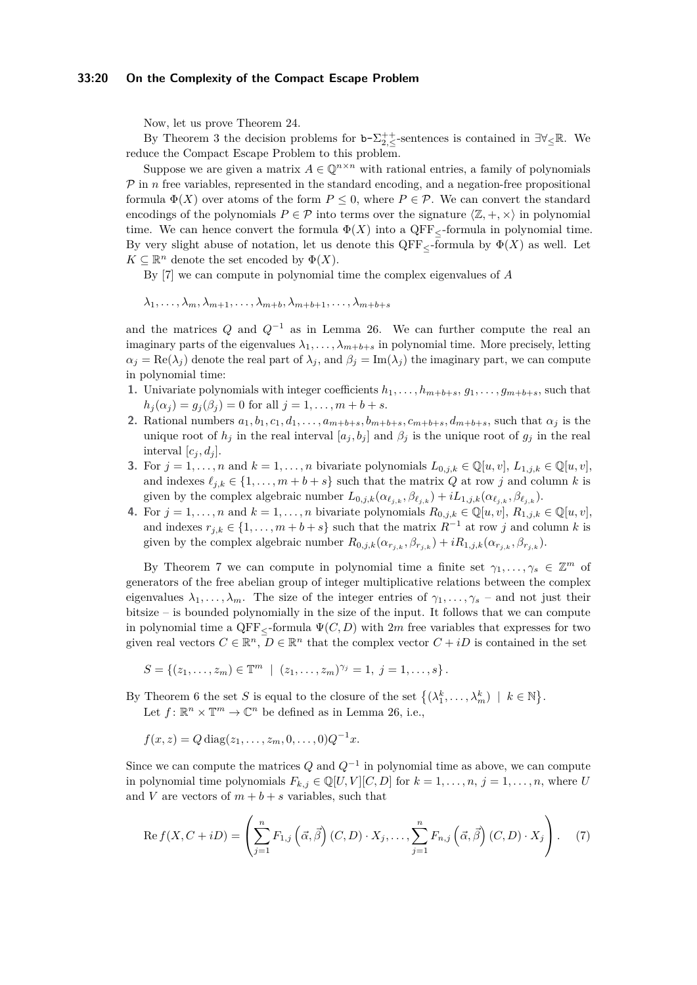### **33:20 On the Complexity of the Compact Escape Problem**

Now, let us prove Theorem [24.](#page-14-1)

By Theorem [3](#page-4-0) the decision problems for  $b-\sum_{2,\leq}^{++}$ -sentences is contained in  $\exists \forall_{\leq} \mathbb{R}$ . We reduce the Compact Escape Problem to this problem.

Suppose we are given a matrix  $A \in \mathbb{Q}^{n \times n}$  with rational entries, a family of polynomials  $P$  in  $n$  free variables, represented in the standard encoding, and a negation-free propositional formula  $\Phi(X)$  over atoms of the form  $P \leq 0$ , where  $P \in \mathcal{P}$ . We can convert the standard encodings of the polynomials  $P \in \mathcal{P}$  into terms over the signature  $\langle \mathbb{Z}, +, \times \rangle$  in polynomial time. We can hence convert the formula  $\Phi(X)$  into a QFF<sub> $\lt$ </sub>-formula in polynomial time. By very slight abuse of notation, let us denote this  $QFF<sub>5</sub>$ -formula by  $\Phi(X)$  as well. Let  $K \subseteq \mathbb{R}^n$  denote the set encoded by  $\Phi(X)$ .

By [\[7\]](#page-16-21) we can compute in polynomial time the complex eigenvalues of *A*

 $\lambda_1, \ldots, \lambda_m, \lambda_{m+1}, \ldots, \lambda_{m+b}, \lambda_{m+b+1}, \ldots, \lambda_{m+b+s}$ 

and the matrices *Q* and *Q*−<sup>1</sup> as in Lemma [26.](#page-17-3) We can further compute the real an imaginary parts of the eigenvalues  $\lambda_1, \ldots, \lambda_{m+b+s}$  in polynomial time. More precisely, letting  $\alpha_j = \text{Re}(\lambda_j)$  denote the real part of  $\lambda_j$ , and  $\beta_j = \text{Im}(\lambda_j)$  the imaginary part, we can compute in polynomial time:

- **1.** Univariate polynomials with integer coefficients  $h_1, \ldots, h_{m+b+s}, g_1, \ldots, g_{m+b+s}$ , such that  $h_i(\alpha_i) = q_i(\beta_i) = 0$  for all  $i = 1, ..., m + b + s$ .
- 2. Rational numbers  $a_1, b_1, c_1, d_1, \ldots, a_{m+b+s}, b_{m+b+s}, c_{m+b+s}, d_{m+b+s}$ , such that  $\alpha_j$  is the unique root of  $h_j$  in the real interval  $[a_j, b_j]$  and  $\beta_j$  is the unique root of  $g_j$  in the real interval  $[c_i, d_i]$ .
- **3.** For  $j = 1, \ldots, n$  and  $k = 1, \ldots, n$  bivariate polynomials  $L_{0,j,k} \in \mathbb{Q}[u, v], L_{1,j,k} \in \mathbb{Q}[u, v]$ , and indexes  $\ell_{i,k} \in \{1, \ldots, m+b+s\}$  such that the matrix *Q* at row *j* and column *k* is given by the complex algebraic number  $L_{0,j,k}(\alpha_{\ell_{j,k}}, \beta_{\ell_{j,k}}) + iL_{1,j,k}(\alpha_{\ell_{j,k}}, \beta_{\ell_{j,k}})$ .
- **4.** For  $j = 1, \ldots, n$  and  $k = 1, \ldots, n$  bivariate polynomials  $R_{0,j,k} \in \mathbb{Q}[u, v], R_{1,j,k} \in \mathbb{Q}[u, v]$ , and indexes  $r_{j,k} \in \{1, \ldots, m+b+s\}$  such that the matrix  $R^{-1}$  at row *j* and column *k* is given by the complex algebraic number  $R_{0,j,k}(\alpha_{r_{j,k}}, \beta_{r_{j,k}}) + iR_{1,j,k}(\alpha_{r_{j,k}}, \beta_{r_{j,k}})$ .

By Theorem [7](#page-6-3) we can compute in polynomial time a finite set  $\gamma_1, \ldots, \gamma_s \in \mathbb{Z}^m$  of generators of the free abelian group of integer multiplicative relations between the complex eigenvalues  $\lambda_1, \ldots, \lambda_m$ . The size of the integer entries of  $\gamma_1, \ldots, \gamma_s$  – and not just their bitsize – is bounded polynomially in the size of the input. It follows that we can compute in polynomial time a  $QFF<sub>5</sub>$ -formula  $\Psi(C, D)$  with 2*m* free variables that expresses for two given real vectors  $C \in \mathbb{R}^n$ ,  $D \in \mathbb{R}^n$  that the complex vector  $C + iD$  is contained in the set

$$
S = \{(z_1, \ldots, z_m) \in \mathbb{T}^m \mid (z_1, \ldots, z_m)^{\gamma_j} = 1, j = 1, \ldots, s\}.
$$

By Theorem [6](#page-6-2) the set *S* is equal to the closure of the set  $\{(\lambda_1^k, \ldots, \lambda_m^k) \mid k \in \mathbb{N}\}.$ 

Let  $f: \mathbb{R}^n \times \mathbb{T}^m \to \mathbb{C}^n$  be defined as in Lemma [26,](#page-17-3) i.e.,

$$
f(x, z) = Q \operatorname{diag}(z_1, \dots, z_m, 0, \dots, 0) Q^{-1} x.
$$

Since we can compute the matrices *Q* and *Q*<sup>−</sup><sup>1</sup> in polynomial time as above, we can compute in polynomial time polynomials  $F_{k,j} \in \mathbb{Q}[U,V][C,D]$  for  $k = 1, \ldots, n, j = 1, \ldots, n$ , where *U* and *V* are vectors of  $m + b + s$  variables, such that

<span id="page-19-0"></span>
$$
\operatorname{Re} f(X, C + iD) = \left( \sum_{j=1}^{n} F_{1,j} \left( \vec{\alpha}, \vec{\beta} \right) (C, D) \cdot X_j, \dots, \sum_{j=1}^{n} F_{n,j} \left( \vec{\alpha}, \vec{\beta} \right) (C, D) \cdot X_j \right). \tag{7}
$$